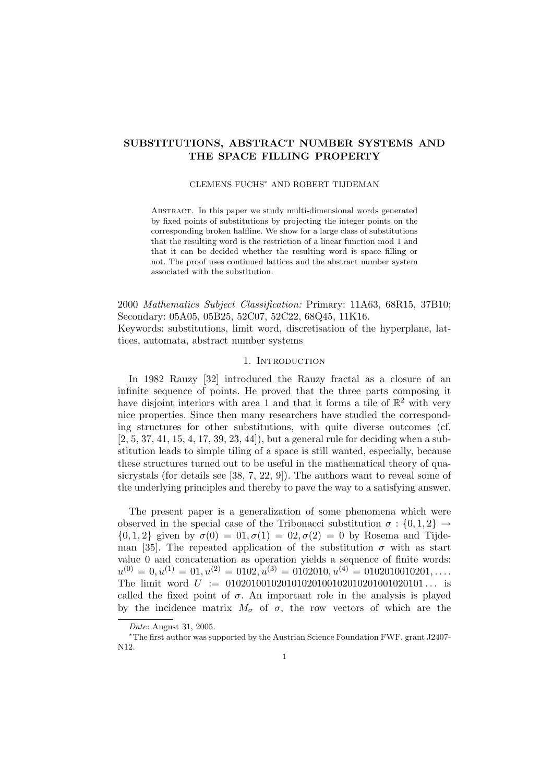# SUBSTITUTIONS, ABSTRACT NUMBER SYSTEMS AND THE SPACE FILLING PROPERTY

#### CLEMENS FUCHS<sup>∗</sup> AND ROBERT TIJDEMAN

Abstract. In this paper we study multi-dimensional words generated by fixed points of substitutions by projecting the integer points on the corresponding broken halfline. We show for a large class of substitutions that the resulting word is the restriction of a linear function mod 1 and that it can be decided whether the resulting word is space filling or not. The proof uses continued lattices and the abstract number system associated with the substitution.

2000 Mathematics Subject Classification: Primary: 11A63, 68R15, 37B10; Secondary: 05A05, 05B25, 52C07, 52C22, 68Q45, 11K16. Keywords: substitutions, limit word, discretisation of the hyperplane, lattices, automata, abstract number systems

# 1. INTRODUCTION

In 1982 Rauzy [32] introduced the Rauzy fractal as a closure of an infinite sequence of points. He proved that the three parts composing it have disjoint interiors with area 1 and that it forms a tile of  $\mathbb{R}^2$  with very nice properties. Since then many researchers have studied the corresponding structures for other substitutions, with quite diverse outcomes (cf. [2, 5, 37, 41, 15, 4, 17, 39, 23, 44]), but a general rule for deciding when a substitution leads to simple tiling of a space is still wanted, especially, because these structures turned out to be useful in the mathematical theory of quasicrystals (for details see [38, 7, 22, 9]). The authors want to reveal some of the underlying principles and thereby to pave the way to a satisfying answer.

The present paper is a generalization of some phenomena which were observed in the special case of the Tribonacci substitution  $\sigma : \{0, 1, 2\} \rightarrow$  $\{0, 1, 2\}$  given by  $\sigma(0) = 0.0, \sigma(1) = 0.0, \sigma(2) = 0$  by Rosema and Tijdeman [35]. The repeated application of the substitution  $\sigma$  with as start value 0 and concatenation as operation yields a sequence of finite words:  $u^{(0)} = 0, u^{(1)} = 01, u^{(2)} = 0102, u^{(3)} = 0102010, u^{(4)} = 0102010010201, \ldots$ The limit word  $U := 01020100102010102010010201001020101...$  is called the fixed point of  $\sigma$ . An important role in the analysis is played by the incidence matrix  $M_{\sigma}$  of  $\sigma$ , the row vectors of which are the

Date: August 31, 2005.

<sup>∗</sup>The first author was supported by the Austrian Science Foundation FWF, grant J2407- N12.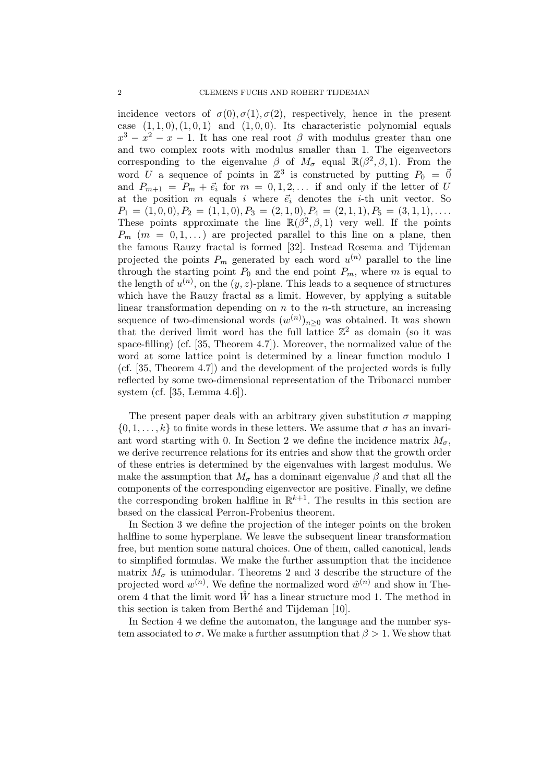incidence vectors of  $\sigma(0), \sigma(1), \sigma(2)$ , respectively, hence in the present case  $(1, 1, 0), (1, 0, 1)$  and  $(1, 0, 0)$ . Its characteristic polynomial equals  $x^3 - x^2 - x - 1$ . It has one real root  $\beta$  with modulus greater than one and two complex roots with modulus smaller than 1. The eigenvectors corresponding to the eigenvalue  $\beta$  of  $M_{\sigma}$  equal  $\mathbb{R}(\beta^2, \beta, 1)$ . From the word U a sequence of points in  $\mathbb{Z}^3$  is constructed by putting  $P_0 = \vec{0}$ and  $P_{m+1} = P_m + \vec{e}_i$  for  $m = 0, 1, 2, \ldots$  if and only if the letter of U at the position m equals i where  $\vec{e}_i$  denotes the *i*-th unit vector. So  $P_1 = (1, 0, 0), P_2 = (1, 1, 0), P_3 = (2, 1, 0), P_4 = (2, 1, 1), P_5 = (3, 1, 1), \ldots$ These points approximate the line  $\mathbb{R}(\beta^2, \beta, 1)$  very well. If the points  $P_m$  (m = 0,1,...) are projected parallel to this line on a plane, then the famous Rauzy fractal is formed [32]. Instead Rosema and Tijdeman projected the points  $P_m$  generated by each word  $u^{(n)}$  parallel to the line through the starting point  $P_0$  and the end point  $P_m$ , where m is equal to the length of  $u^{(n)}$ , on the  $(y, z)$ -plane. This leads to a sequence of structures which have the Rauzy fractal as a limit. However, by applying a suitable linear transformation depending on  $n$  to the  $n$ -th structure, an increasing sequence of two-dimensional words  $(w^{(n)})_{n\geq 0}$  was obtained. It was shown that the derived limit word has the full lattice  $\mathbb{Z}^2$  as domain (so it was space-filling) (cf. [35, Theorem 4.7]). Moreover, the normalized value of the word at some lattice point is determined by a linear function modulo 1 (cf. [35, Theorem 4.7]) and the development of the projected words is fully reflected by some two-dimensional representation of the Tribonacci number system (cf. [35, Lemma 4.6]).

The present paper deals with an arbitrary given substitution  $\sigma$  mapping  $\{0, 1, \ldots, k\}$  to finite words in these letters. We assume that  $\sigma$  has an invariant word starting with 0. In Section 2 we define the incidence matrix  $M_{\sigma}$ , we derive recurrence relations for its entries and show that the growth order of these entries is determined by the eigenvalues with largest modulus. We make the assumption that  $M_{\sigma}$  has a dominant eigenvalue  $\beta$  and that all the components of the corresponding eigenvector are positive. Finally, we define the corresponding broken halfline in  $\mathbb{R}^{k+1}$ . The results in this section are based on the classical Perron-Frobenius theorem.

In Section 3 we define the projection of the integer points on the broken halfline to some hyperplane. We leave the subsequent linear transformation free, but mention some natural choices. One of them, called canonical, leads to simplified formulas. We make the further assumption that the incidence matrix  $M_{\sigma}$  is unimodular. Theorems 2 and 3 describe the structure of the projected word  $w^{(n)}$ . We define the normalized word  $\hat{w}^{(n)}$  and show in Theorem 4 that the limit word  $\hat{W}$  has a linear structure mod 1. The method in this section is taken from Berthé and Tijdeman [10].

In Section 4 we define the automaton, the language and the number system associated to  $\sigma$ . We make a further assumption that  $\beta > 1$ . We show that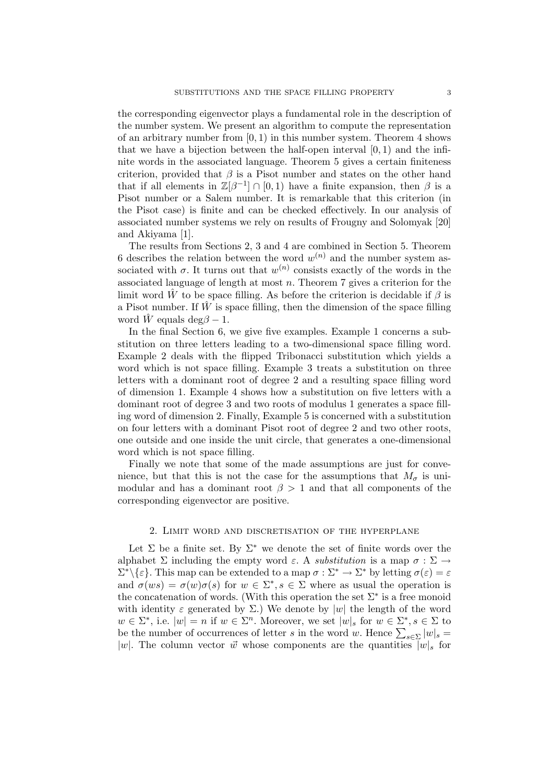the corresponding eigenvector plays a fundamental role in the description of the number system. We present an algorithm to compute the representation of an arbitrary number from  $[0, 1)$  in this number system. Theorem 4 shows that we have a bijection between the half-open interval  $[0, 1)$  and the infinite words in the associated language. Theorem 5 gives a certain finiteness criterion, provided that  $\beta$  is a Pisot number and states on the other hand that if all elements in  $\mathbb{Z}[\beta^{-1}] \cap [0,1)$  have a finite expansion, then  $\beta$  is a Pisot number or a Salem number. It is remarkable that this criterion (in the Pisot case) is finite and can be checked effectively. In our analysis of associated number systems we rely on results of Frougny and Solomyak [20] and Akiyama [1].

The results from Sections 2, 3 and 4 are combined in Section 5. Theorem 6 describes the relation between the word  $w^{(n)}$  and the number system associated with  $\sigma$ . It turns out that  $w^{(n)}$  consists exactly of the words in the associated language of length at most  $n$ . Theorem 7 gives a criterion for the limit word  $\hat{W}$  to be space filling. As before the criterion is decidable if  $\beta$  is a Pisot number. If  $W$  is space filling, then the dimension of the space filling word  $\hat{W}$  equals deg $\beta - 1$ .

In the final Section 6, we give five examples. Example 1 concerns a substitution on three letters leading to a two-dimensional space filling word. Example 2 deals with the flipped Tribonacci substitution which yields a word which is not space filling. Example 3 treats a substitution on three letters with a dominant root of degree 2 and a resulting space filling word of dimension 1. Example 4 shows how a substitution on five letters with a dominant root of degree 3 and two roots of modulus 1 generates a space filling word of dimension 2. Finally, Example 5 is concerned with a substitution on four letters with a dominant Pisot root of degree 2 and two other roots, one outside and one inside the unit circle, that generates a one-dimensional word which is not space filling.

Finally we note that some of the made assumptions are just for convenience, but that this is not the case for the assumptions that  $M_{\sigma}$  is unimodular and has a dominant root  $\beta > 1$  and that all components of the corresponding eigenvector are positive.

## 2. Limit word and discretisation of the hyperplane

Let  $\Sigma$  be a finite set. By  $\Sigma^*$  we denote the set of finite words over the alphabet  $\Sigma$  including the empty word  $\varepsilon$ . A substitution is a map  $\sigma : \Sigma \to$  $\Sigma^* \backslash \{\varepsilon\}$ . This map can be extended to a map  $\sigma : \Sigma^* \to \Sigma^*$  by letting  $\sigma(\varepsilon) = \varepsilon$ and  $\sigma(ws) = \sigma(w)\sigma(s)$  for  $w \in \Sigma^*, s \in \Sigma$  where as usual the operation is the concatenation of words. (With this operation the set  $\Sigma^*$  is a free monoid with identity  $\varepsilon$  generated by  $\Sigma$ .) We denote by |w| the length of the word  $w \in \Sigma^*$ , i.e.  $|w| = n$  if  $w \in \Sigma^n$ . Moreover, we set  $|w|_s$  for  $w \in \Sigma^*$ ,  $s \in \Sigma$  to be the number of occurrences of letter s in the word w. Hence  $\sum_{s\in\Sigma} |w|_s =$ |w|. The column vector  $\vec{w}$  whose components are the quantities  $|w|_s$  for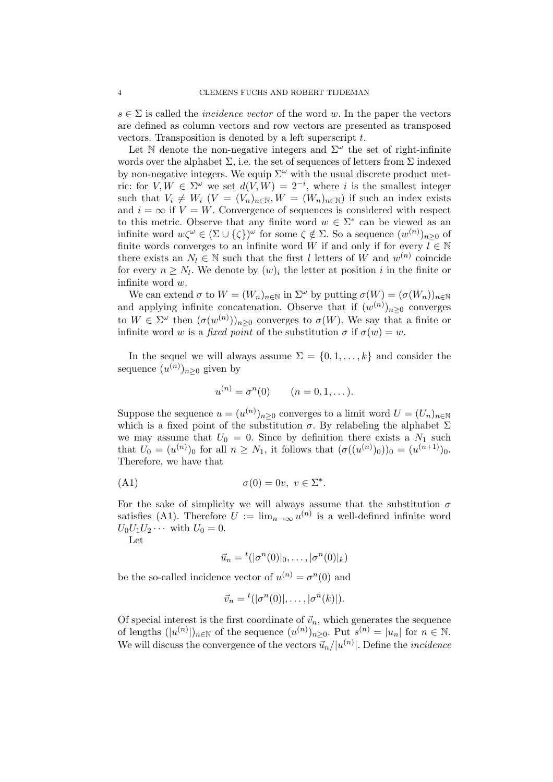$s \in \Sigma$  is called the *incidence vector* of the word w. In the paper the vectors are defined as column vectors and row vectors are presented as transposed vectors. Transposition is denoted by a left superscript  $t$ .

Let  $\mathbb N$  denote the non-negative integers and  $\Sigma^{\omega}$  the set of right-infinite words over the alphabet  $\Sigma$ , i.e. the set of sequences of letters from  $\Sigma$  indexed by non-negative integers. We equip  $\Sigma^{\omega}$  with the usual discrete product metric: for  $V, W \in \Sigma^{\omega}$  we set  $d(V, W) = 2^{-i}$ , where i is the smallest integer such that  $V_i \neq W_i$   $(V = (V_n)_{n \in \mathbb{N}}$ ,  $W = (W_n)_{n \in \mathbb{N}}$  if such an index exists and  $i = \infty$  if  $V = W$ . Convergence of sequences is considered with respect to this metric. Observe that any finite word  $w \in \Sigma^*$  can be viewed as an infinite word  $w\zeta^{\omega} \in (\Sigma \cup \{\zeta\})^{\omega}$  for some  $\zeta \notin \Sigma$ . So a sequence  $(w^{(n)})_{n \geq 0}$  of finite words converges to an infinite word W if and only if for every  $\overline{l} \in \mathbb{N}$ there exists an  $N_l \in \mathbb{N}$  such that the first l letters of W and  $w^{(n)}$  coincide for every  $n \geq N_l$ . We denote by  $(w)_i$  the letter at position i in the finite or infinite word w.

We can extend  $\sigma$  to  $W = (W_n)_{n \in \mathbb{N}}$  in  $\Sigma^{\omega}$  by putting  $\sigma(W) = (\sigma(W_n))_{n \in \mathbb{N}}$ and applying infinite concatenation. Observe that if  $(w^{(n)})_{n\geq 0}$  converges to  $W \in \Sigma^{\omega}$  then  $(\sigma(w^{(n)}))_{n \geq 0}$  converges to  $\sigma(W)$ . We say that a finite or infinite word w is a fixed point of the substitution  $\sigma$  if  $\sigma(w) = w$ .

In the sequel we will always assume  $\Sigma = \{0, 1, \ldots, k\}$  and consider the sequence  $(u^{(n)})_{n\geq 0}$  given by

$$
u^{(n)} = \sigma^n(0)
$$
  $(n = 0, 1, ...).$ 

Suppose the sequence  $u = (u^{(n)})_{n \geq 0}$  converges to a limit word  $U = (U_n)_{n \in \mathbb{N}}$ which is a fixed point of the substitution  $\sigma$ . By relabeling the alphabet  $\Sigma$ we may assume that  $U_0 = 0$ . Since by definition there exists a  $N_1$  such that  $U_0 = (u^{(n)})_0$  for all  $n \ge N_1$ , it follows that  $(\sigma((u^{(n)})_0))_0 = (u^{(n+1)})_0$ . Therefore, we have that

(A1) 
$$
\sigma(0) = 0v, \ v \in \Sigma^*.
$$

For the sake of simplicity we will always assume that the substitution  $\sigma$ satisfies (A1). Therefore  $U := \lim_{n \to \infty} u^{(n)}$  is a well-defined infinite word  $U_0U_1U_2\cdots$  with  $U_0=0$ .

Let

$$
\vec{u}_n = {}^t(|\sigma^n(0)|_0, \ldots, |\sigma^n(0)|_k)
$$

be the so-called incidence vector of  $u^{(n)} = \sigma^n(0)$  and

$$
\vec{v}_n = {}^t(|\sigma^n(0)|, \ldots, |\sigma^n(k)|).
$$

Of special interest is the first coordinate of  $\vec{v}_n$ , which generates the sequence of lengths  $(|u^{(n)}|)_{n\in\mathbb{N}}$  of the sequence  $(u^{(n)})_{n\geq 0}$ . Put  $s^{(n)} = |u_n|$  for  $n \in \mathbb{N}$ . We will discuss the convergence of the vectors  $\vec{u}_n/|u^{(n)}|$ . Define the *incidence*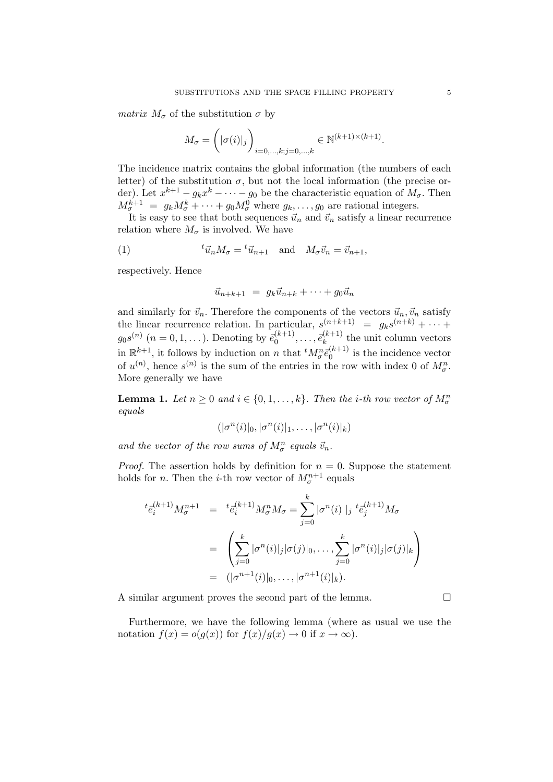*matrix*  $M_{\sigma}$  of the substitution  $\sigma$  by

$$
M_{\sigma} = \left( |\sigma(i)|_j \right)_{i=0,\ldots,k; j=0,\ldots,k} \in \mathbb{N}^{(k+1)\times (k+1)}.
$$

The incidence matrix contains the global information (the numbers of each letter) of the substitution  $\sigma$ , but not the local information (the precise order). Let  $x^{k+1} - g_k x^k - \cdots - g_0$  be the characteristic equation of  $M_{\sigma}$ . Then  $M_{\sigma}^{k+1} = g_k M_{\sigma}^k + \cdots + g_0 M_{\sigma}^0$  where  $g_k, \ldots, g_0$  are rational integers.

It is easy to see that both sequences  $\vec{u}_n$  and  $\vec{v}_n$  satisfy a linear recurrence relation where  $M_{\sigma}$  is involved. We have

(1) 
$$
{}^t\vec{u}_n M_\sigma = {}^t\vec{u}_{n+1} \text{ and } M_\sigma \vec{v}_n = \vec{v}_{n+1},
$$

respectively. Hence

$$
\vec{u}_{n+k+1} = g_k \vec{u}_{n+k} + \cdots + g_0 \vec{u}_n
$$

and similarly for  $\vec{v}_n$ . Therefore the components of the vectors  $\vec{u}_n, \vec{v}_n$  satisfy the linear recurrence relation. In particular,  $s^{(n+k+1)} = g_k s^{(n+k)} + \cdots$  $g_0s^{(n)}$   $(n = 0, 1, \ldots)$ . Denoting by  $\bar{e}_0^{(k+1)}, \ldots, \bar{e}_k^{(k+1)}$  the unit column vectors in  $\mathbb{R}^{k+1}$ , it follows by induction on n that  ${}^t M_{\sigma}^n \bar{e}_0^{(k+1)}$  is the incidence vector of  $u^{(n)}$ , hence  $s^{(n)}$  is the sum of the entries in the row with index 0 of  $M_{\sigma}^{n}$ . More generally we have

**Lemma 1.** Let  $n \geq 0$  and  $i \in \{0, 1, \ldots, k\}$ . Then the *i*-th row vector of  $M_{\sigma}^{n}$ equals

$$
(|\sigma^n(i)|_0, |\sigma^n(i)|_1, \ldots, |\sigma^n(i)|_k)
$$

and the vector of the row sums of  $M_{\sigma}^n$  equals  $\vec{v}_n$ .

*Proof.* The assertion holds by definition for  $n = 0$ . Suppose the statement holds for *n*. Then the *i*-th row vector of  $M_{\sigma}^{n+1}$  equals

$$
{}^{t}\bar{e}_{i}^{(k+1)}M_{\sigma}^{n+1} = {}^{t}\bar{e}_{i}^{(k+1)}M_{\sigma}^{n}M_{\sigma} = \sum_{j=0}^{k} |\sigma^{n}(i)|_{j} {}^{t}\bar{e}_{j}^{(k+1)}M_{\sigma}
$$
  

$$
= \left(\sum_{j=0}^{k} |\sigma^{n}(i)|_{j} |\sigma(j)|_{0}, \dots, \sum_{j=0}^{k} |\sigma^{n}(i)|_{j} |\sigma(j)|_{k}\right)
$$
  

$$
= (|\sigma^{n+1}(i)|_{0}, \dots, |\sigma^{n+1}(i)|_{k}).
$$

A similar argument proves the second part of the lemma.  $\Box$ 

Furthermore, we have the following lemma (where as usual we use the notation  $f(x) = o(g(x))$  for  $f(x)/g(x) \to 0$  if  $x \to \infty$ ).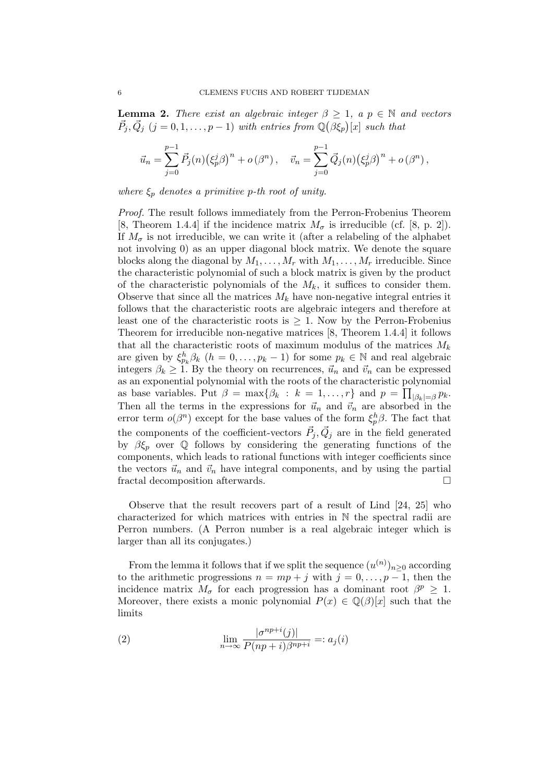**Lemma 2.** There exist an algebraic integer  $\beta \geq 1$ , a  $p \in \mathbb{N}$  and vectors  $\vec{P}_j, \vec{Q}_j \ (j = 0, 1, \ldots, p - 1)$  with entries from  $\mathbb{Q}(\beta \xi_p)[x]$  such that

$$
\vec{u}_n = \sum_{j=0}^{p-1} \vec{P}_j(n) (\xi_p^j \beta)^n + o(\beta^n), \quad \vec{v}_n = \sum_{j=0}^{p-1} \vec{Q}_j(n) (\xi_p^j \beta)^n + o(\beta^n),
$$

where  $\xi_p$  denotes a primitive p-th root of unity.

Proof. The result follows immediately from the Perron-Frobenius Theorem [8, Theorem 1.4.4] if the incidence matrix  $M_{\sigma}$  is irreducible (cf. [8, p. 2]). If  $M_{\sigma}$  is not irreducible, we can write it (after a relabeling of the alphabet not involving 0) as an upper diagonal block matrix. We denote the square blocks along the diagonal by  $M_1, \ldots, M_r$  with  $M_1, \ldots, M_r$  irreducible. Since the characteristic polynomial of such a block matrix is given by the product of the characteristic polynomials of the  $M_k$ , it suffices to consider them. Observe that since all the matrices  $M_k$  have non-negative integral entries it follows that the characteristic roots are algebraic integers and therefore at least one of the characteristic roots is  $\geq$  1. Now by the Perron-Frobenius Theorem for irreducible non-negative matrices [8, Theorem 1.4.4] it follows that all the characteristic roots of maximum modulus of the matrices  $M_k$ are given by  $\xi_{p_k}^h \beta_k$   $(h = 0, \ldots, p_k - 1)$  for some  $p_k \in \mathbb{N}$  and real algebraic integers  $\beta_k \geq 1$ . By the theory on recurrences,  $\vec{u}_n$  and  $\vec{v}_n$  can be expressed as an exponential polynomial with the roots of the characteristic polynomial as base variables. Put  $\beta = \max\{\beta_k : k = 1, ..., r\}$  and  $p = \prod_{|\beta_k| = \beta} p_k$ . Then all the terms in the expressions for  $\vec{u}_n$  and  $\vec{v}_n$  are absorbed in the error term  $o(\beta^n)$  except for the base values of the form  $\xi_p^h\beta$ . The fact that the components of the coefficient-vectors  $\vec{P}_j, \vec{Q}_j$  are in the field generated by  $\beta \xi_p$  over Q follows by considering the generating functions of the components, which leads to rational functions with integer coefficients since the vectors  $\vec{u}_n$  and  $\vec{v}_n$  have integral components, and by using the partial fractal decomposition afterwards.

Observe that the result recovers part of a result of Lind [24, 25] who characterized for which matrices with entries in N the spectral radii are Perron numbers. (A Perron number is a real algebraic integer which is larger than all its conjugates.)

From the lemma it follows that if we split the sequence  $(u^{(n)})_{n\geq 0}$  according to the arithmetic progressions  $n = mp + j$  with  $j = 0, \ldots, p - 1$ , then the incidence matrix  $M_{\sigma}$  for each progression has a dominant root  $\beta^p \geq 1$ . Moreover, there exists a monic polynomial  $P(x) \in \mathbb{Q}(\beta)[x]$  such that the limits

(2) 
$$
\lim_{n \to \infty} \frac{|\sigma^{np+i}(j)|}{P(np+i)\beta^{np+i}} =: a_j(i)
$$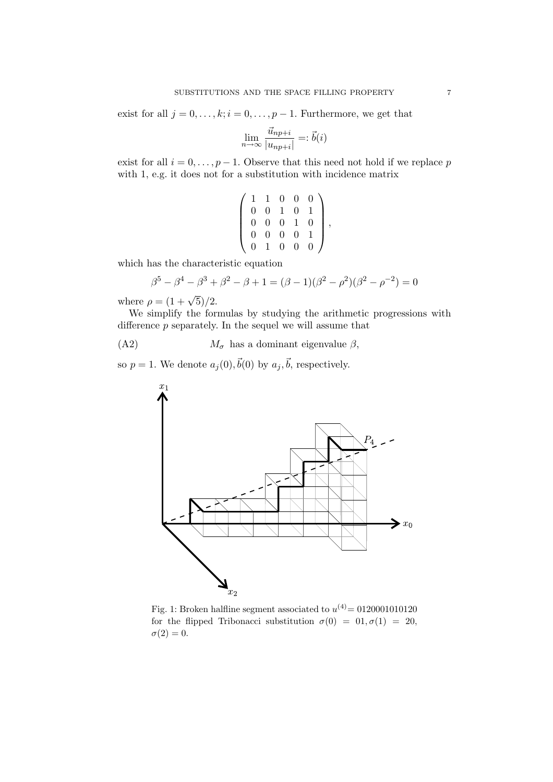exist for all  $j = 0, \ldots, k; i = 0, \ldots, p - 1$ . Furthermore, we get that

$$
\lim_{n \to \infty} \frac{\vec{u}_{np+i}}{|u_{np+i}|} =: \vec{b}(i)
$$

exist for all  $i = 0, \ldots, p - 1$ . Observe that this need not hold if we replace p with 1, e.g. it does not for a substitution with incidence matrix

$$
\left(\begin{array}{cccc}1&1&0&0&0\\0&0&1&0&1\\0&0&0&1&0\\0&0&0&0&1\\0&1&0&0&0\end{array}\right)
$$

,

which has the characteristic equation

$$
\beta^5 - \beta^4 - \beta^3 + \beta^2 - \beta + 1 = (\beta - 1)(\beta^2 - \beta^2)(\beta^2 - \beta^{-2}) = 0
$$

where  $\rho = (1 + \sqrt{5})/2$ .

We simplify the formulas by studying the arithmetic progressions with difference  $p$  separately. In the sequel we will assume that

(A2)  $M_{\sigma}$  has a dominant eigenvalue  $\beta$ ,

so  $p = 1$ . We denote  $a_j(0), \vec{b}(0)$  by  $a_j, \vec{b}$ , respectively.



Fig. 1: Broken halfline segment associated to  $u^{(4)} = 0120001010120$ for the flipped Tribonacci substitution  $\sigma(0) = 0.0, \sigma(1) = 20$ ,  $\sigma(2)=0.$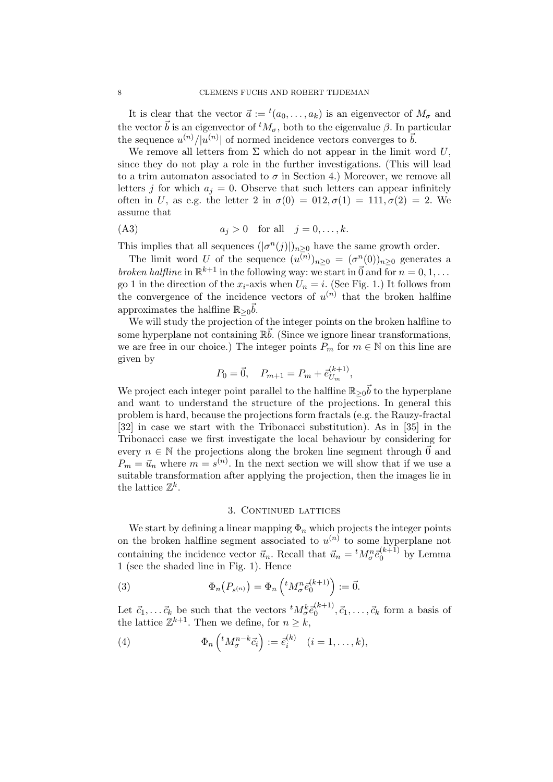It is clear that the vector  $\vec{a} := {}^t(a_0, \ldots, a_k)$  is an eigenvector of  $M_{\sigma}$  and the vector  $\vec{b}$  is an eigenvector of  ${}^tM_{\sigma}$ , both to the eigenvalue  $\beta$ . In particular the sequence  $u^{(n)}/|u^{(n)}|$  of normed incidence vectors converges to  $\vec{b}$ .

We remove all letters from  $\Sigma$  which do not appear in the limit word U, since they do not play a role in the further investigations. (This will lead to a trim automaton associated to  $\sigma$  in Section 4.) Moreover, we remove all letters j for which  $a_i = 0$ . Observe that such letters can appear infinitely often in U, as e.g. the letter 2 in  $\sigma(0) = 0.12, \sigma(1) = 1.11, \sigma(2) = 2$ . We assume that

$$
(A3) \t a_j > 0 \t for all \t j = 0, ..., k.
$$

This implies that all sequences  $(|\sigma^n(j)|)_{n \geq 0}$  have the same growth order.

The limit word U of the sequence  $(u^{(n)})_{n\geq 0} = (\sigma^n(0))_{n\geq 0}$  generates a broken halfline in  $\mathbb{R}^{k+1}$  in the following way: we start in  $\vec{0}$  and for  $n = 0, 1, ...$ go 1 in the direction of the  $x_i$ -axis when  $U_n = i$ . (See Fig. 1.) It follows from the convergence of the incidence vectors of  $u^{(n)}$  that the broken halfline approximates the halfline  $\mathbb{R}_{\geq 0}$ .

We will study the projection of the integer points on the broken halfline to some hyperplane not containing  $\mathbb{R}\bar{b}$ . (Since we ignore linear transformations, we are free in our choice.) The integer points  $P_m$  for  $m \in \mathbb{N}$  on this line are given by

$$
P_0 = \vec{0}, \quad P_{m+1} = P_m + \vec{e}_{U_m}^{(k+1)},
$$

We project each integer point parallel to the halfline  $\mathbb{R}_{\geq 0}$  to the hyperplane and want to understand the structure of the projections. In general this problem is hard, because the projections form fractals (e.g. the Rauzy-fractal [32] in case we start with the Tribonacci substitution). As in [35] in the Tribonacci case we first investigate the local behaviour by considering for every  $n \in \mathbb{N}$  the projections along the broken line segment through  $\vec{0}$  and  $P_m = \vec{u}_n$  where  $m = s^{(n)}$ . In the next section we will show that if we use a suitable transformation after applying the projection, then the images lie in the lattice  $\mathbb{Z}^k$ .

#### 3. CONTINUED LATTICES

We start by defining a linear mapping  $\Phi_n$  which projects the integer points on the broken halfline segment associated to  $u^{(n)}$  to some hyperplane not containing the incidence vector  $\vec{u}_n$ . Recall that  $\vec{u}_n = {}^t M_{\sigma}^n \vec{e}_0^{(k+1)}$  by Lemma 1 (see the shaded line in Fig. 1). Hence

(3) 
$$
\Phi_n(P_{s^{(n)}}) = \Phi_n\left({}^t M_{\sigma}^n \bar{e}_0^{(k+1)}\right) := \vec{0}.
$$

Let  $\vec{c}_1, \ldots \vec{c}_k$  be such that the vectors  ${}^t M_{\sigma}^k \vec{e}_0^{(k+1)}, \vec{c}_1, \ldots, \vec{c}_k$  form a basis of the lattice  $\mathbb{Z}^{k+1}$ . Then we define, for  $n \geq k$ ,

(4) 
$$
\Phi_n\left({}^t M^{n-k}_{\sigma} \vec{c}_i\right) := \vec{e}_i^{(k)} \quad (i = 1, \ldots, k),
$$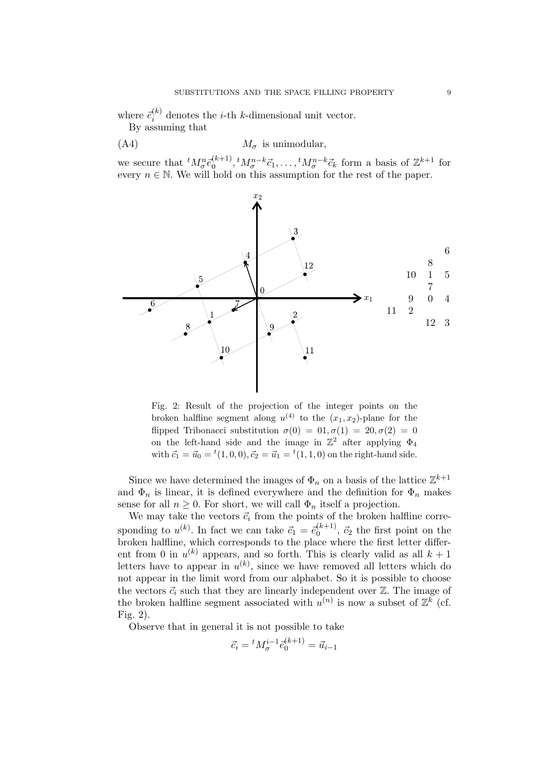where  $\vec{e}_i^{(k)}$  denotes the *i*-th *k*-dimensional unit vector.

By assuming that

$$
(A4) \t M_{\sigma} \t is unimodular,
$$

we secure that  ${}^t M_{\sigma}^n \bar{e}_0^{(k+1)}, {}^t M_{\sigma}^{n-k} \bar{c}_1, \ldots, {}^t M_{\sigma}^{n-k} \bar{c}_k$  form a basis of  $\mathbb{Z}^{k+1}$  for every  $n \in \mathbb{N}$ . We will hold on this assumption for the rest of the paper.



Fig. 2: Result of the projection of the integer points on the broken halfline segment along  $u^{(4)}$  to the  $(x_1, x_2)$ -plane for the flipped Tribonacci substitution  $\sigma(0) = 0.0, \sigma(1) = 20, \sigma(2) = 0$ on the left-hand side and the image in  $\mathbb{Z}^2$  after applying  $\Phi_4$ with  $\vec{c}_1 = \vec{u}_0 = {}^t(1,0,0), \vec{c}_2 = \vec{u}_1 = {}^t(1,1,0)$  on the right-hand side.

Since we have determined the images of  $\Phi_n$  on a basis of the lattice  $\mathbb{Z}^{k+1}$ and  $\Phi_n$  is linear, it is defined everywhere and the definition for  $\Phi_n$  makes sense for all  $n \geq 0$ . For short, we will call  $\Phi_n$  itself a projection.

We may take the vectors  $\vec{c}_i$  from the points of the broken halfline corresponding to  $u^{(k)}$ . In fact we can take  $\vec{c}_1 = \vec{e}_0^{(k+1)}$ ,  $\vec{c}_2$  the first point on the broken halfline, which corresponds to the place where the first letter different from 0 in  $u^{(k)}$  appears, and so forth. This is clearly valid as all  $k+1$ letters have to appear in  $u^{(k)}$ , since we have removed all letters which do not appear in the limit word from our alphabet. So it is possible to choose the vectors  $\vec{c}_i$  such that they are linearly independent over  $\mathbb{Z}$ . The image of the broken halfline segment associated with  $u^{(n)}$  is now a subset of  $\mathbb{Z}^k$  (cf. Fig. 2).

Observe that in general it is not possible to take

$$
\vec{c}_i = {}^t M_{\sigma}^{i-1} \vec{e}_0^{(k+1)} = \vec{u}_{i-1}
$$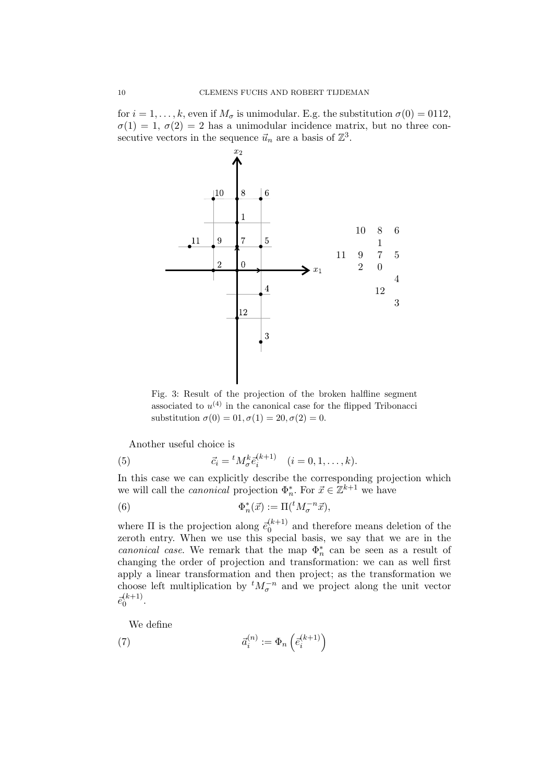for  $i = 1, ..., k$ , even if  $M_{\sigma}$  is unimodular. E.g. the substitution  $\sigma(0) = 0112$ ,  $\sigma(1) = 1, \sigma(2) = 2$  has a unimodular incidence matrix, but no three consecutive vectors in the sequence  $\vec{u}_n$  are a basis of  $\mathbb{Z}^3$ .



Fig. 3: Result of the projection of the broken halfline segment associated to  $u^{(4)}$  in the canonical case for the flipped Tribonacci substitution  $\sigma(0) = 0.1, \sigma(1) = 20, \sigma(2) = 0.$ 

Another useful choice is

(5) 
$$
\vec{c}_i = {}^t M^k_{\sigma} \vec{e}_i^{(k+1)} \quad (i = 0, 1, ..., k).
$$

In this case we can explicitly describe the corresponding projection which we will call the *canonical* projection  $\Phi_n^*$ . For  $\vec{x} \in \mathbb{Z}^{k+1}$  we have

(6) 
$$
\Phi_n^*(\vec{x}) := \Pi({}^t M_{\sigma}^{-n} \vec{x}),
$$

where  $\Pi$  is the projection along  $\bar{e}_0^{(k+1)}$  and therefore means deletion of the zeroth entry. When we use this special basis, we say that we are in the canonical case. We remark that the map  $\Phi_n^*$  can be seen as a result of changing the order of projection and transformation: we can as well first apply a linear transformation and then project; as the transformation we choose left multiplication by  ${}^t M_{\sigma}^{-n}$  and we project along the unit vector  $\bar{e}_0^{(k+1)}$ .

We define

(7) 
$$
\vec{a}_i^{(n)} := \Phi_n\left(\vec{e}_i^{(k+1)}\right)
$$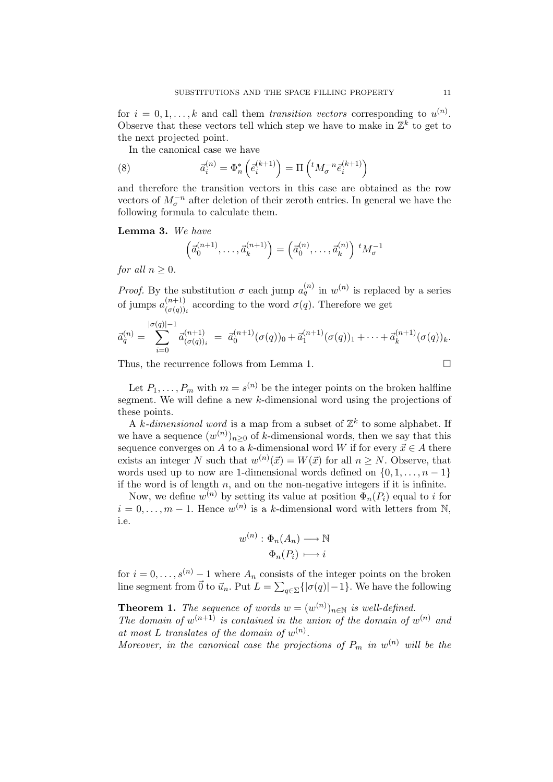for  $i = 0, 1, ..., k$  and call them transition vectors corresponding to  $u^{(n)}$ . Observe that these vectors tell which step we have to make in  $\mathbb{Z}^k$  to get to the next projected point.

In the canonical case we have

(8) 
$$
\vec{a}_i^{(n)} = \Phi_n^* \left( \vec{e}_i^{(k+1)} \right) = \Pi \left( {}^t M^{-n}_{\sigma} \vec{e}_i^{(k+1)} \right)
$$

and therefore the transition vectors in this case are obtained as the row vectors of  $M_{\sigma}^{-n}$  after deletion of their zeroth entries. In general we have the following formula to calculate them.

Lemma 3. We have

$$
\left(\vec{a}_0^{(n+1)},\ldots,\vec{a}_k^{(n+1)}\right) = \left(\vec{a}_0^{(n)},\ldots,\vec{a}_k^{(n)}\right) {}^{t}M_{\sigma}^{-1}
$$

for all  $n > 0$ .

*Proof.* By the substitution  $\sigma$  each jump  $a_q^{(n)}$  in  $w^{(n)}$  is replaced by a series of jumps  $a^{(n+1)}_{(\sigma(a))}$  $\frac{(n+1)}{(\sigma(q))_i}$  according to the word  $\sigma(q)$ . Therefore we get

$$
\vec{a}_q^{(n)} = \sum_{i=0}^{|\sigma(q)|-1} \vec{a}_{(\sigma(q))_i}^{(n+1)} = \vec{a}_0^{(n+1)}(\sigma(q))_0 + \vec{a}_1^{(n+1)}(\sigma(q))_1 + \cdots + \vec{a}_k^{(n+1)}(\sigma(q))_k.
$$

Thus, the recurrence follows from Lemma 1.

$$
\qquad \qquad \Box
$$

Let  $P_1, \ldots, P_m$  with  $m = s^{(n)}$  be the integer points on the broken halfline segment. We will define a new k-dimensional word using the projections of these points.

A k-dimensional word is a map from a subset of  $\mathbb{Z}^k$  to some alphabet. If we have a sequence  $(w^{(n)})_{n\geq 0}$  of k-dimensional words, then we say that this sequence converges on A to a k-dimensional word W if for every  $\vec{x} \in A$  there exists an integer N such that  $w^{(n)}(\vec{x}) = W(\vec{x})$  for all  $n \geq N$ . Observe, that words used up to now are 1-dimensional words defined on  $\{0, 1, \ldots, n-1\}$ if the word is of length  $n$ , and on the non-negative integers if it is infinite.

Now, we define  $w^{(n)}$  by setting its value at position  $\Phi_n(P_i)$  equal to i for  $i = 0, \ldots, m-1$ . Hence  $w^{(n)}$  is a k-dimensional word with letters from N, i.e.

$$
w^{(n)}: \Phi_n(A_n) \longrightarrow \mathbb{N}
$$

$$
\Phi_n(P_i) \longmapsto i
$$

for  $i = 0, \ldots, s^{(n)} - 1$  where  $A_n$  consists of the integer points on the broken line segment from  $\vec{0}$  to  $\vec{u}_n$ . Put  $L = \sum_{q \in \Sigma} {\{| \sigma(q) | -1 \}}$ . We have the following

**Theorem 1.** The sequence of words  $w = (w^{(n)})_{n \in \mathbb{N}}$  is well-defined.

The domain of  $w^{(n+1)}$  is contained in the union of the domain of  $w^{(n)}$  and at most L translates of the domain of  $w^{(n)}$ .

Moreover, in the canonical case the projections of  $P_m$  in  $w^{(n)}$  will be the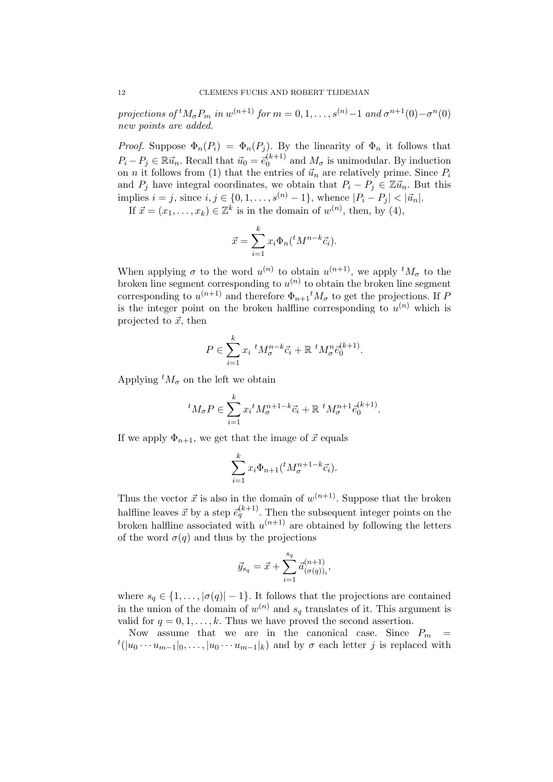projections of <sup>t</sup> $M_{\sigma}P_m$  in  $w^{(n+1)}$  for  $m = 0, 1, ..., s^{(n)}-1$  and  $\sigma^{n+1}(0) - \sigma^n(0)$ new points are added.

*Proof.* Suppose  $\Phi_n(P_i) = \Phi_n(P_j)$ . By the linearity of  $\Phi_n$  it follows that  $P_i - P_j \in \mathbb{R} \vec{u}_n$ . Recall that  $\vec{u}_0 = \vec{e}_0^{(k+1)}$  and  $M_\sigma$  is unimodular. By induction on *n* it follows from (1) that the entries of  $\vec{u}_n$  are relatively prime. Since  $P_i$ and  $P_j$  have integral coordinates, we obtain that  $P_i - P_j \in \mathbb{Z} \vec{u}_n$ . But this implies  $i = j$ , since  $i, j \in \{0, 1, \ldots, s^{(n)} - 1\}$ , whence  $|P_i - P_j| < |\vec{u}_n|$ .

If  $\vec{x} = (x_1, \ldots, x_k) \in \mathbb{Z}^k$  is in the domain of  $w^{(n)}$ , then, by (4),

$$
\vec{x} = \sum_{i=1}^{k} x_i \Phi_n({}^t M^{n-k} \vec{c}_i).
$$

When applying  $\sigma$  to the word  $u^{(n)}$  to obtain  $u^{(n+1)}$ , we apply  ${}^tM_{\sigma}$  to the broken line segment corresponding to  $u^{(n)}$  to obtain the broken line segment corresponding to  $u^{(n+1)}$  and therefore  $\Phi_{n+1}{}^t M_{\sigma}$  to get the projections. If P is the integer point on the broken halfline corresponding to  $u^{(n)}$  which is projected to  $\vec{x}$ , then

$$
P \in \sum_{i=1}^k x_i \ {}^t M_{\sigma}^{n-k} \vec{c}_i + \mathbb{R} \ {}^t M_{\sigma}^n \vec{e}_0^{(k+1)}.
$$

Applying  ${}^tM_{\sigma}$  on the left we obtain

$$
{}^{t}M_{\sigma}P \in \sum_{i=1}^{k} x_{i} {}^{t}M_{\sigma}^{n+1-k} \vec{c}_{i} + \mathbb{R} \ {}^{t}M_{\sigma}^{n+1} \vec{e}_{0}^{(k+1)}.
$$

If we apply  $\Phi_{n+1}$ , we get that the image of  $\vec{x}$  equals

$$
\sum_{i=1}^k x_i \Phi_{n+1}({}^t M_{\sigma}^{n+1-k} \vec{c}_i).
$$

Thus the vector  $\vec{x}$  is also in the domain of  $w^{(n+1)}$ . Suppose that the broken halfline leaves  $\vec{x}$  by a step  $\vec{e}_q^{(k+1)}$ . Then the subsequent integer points on the broken halfline associated with  $u^{(n+1)}$  are obtained by following the letters of the word  $\sigma(q)$  and thus by the projections

$$
\vec{y}_{s_q} = \vec{x} + \sum_{i=1}^{s_q} \vec{a}_{(\sigma(q))_i}^{(n+1)},
$$

where  $s_q \in \{1, \ldots, |\sigma(q)| - 1\}$ . It follows that the projections are contained in the union of the domain of  $w^{(n)}$  and  $s_q$  translates of it. This argument is valid for  $q = 0, 1, \ldots, k$ . Thus we have proved the second assertion.

Now assume that we are in the canonical case. Since  $P_m$  =  $t(|u_0 \cdots u_{m-1}|_0, \ldots, |u_0 \cdots u_{m-1}|_k)$  and by  $\sigma$  each letter j is replaced with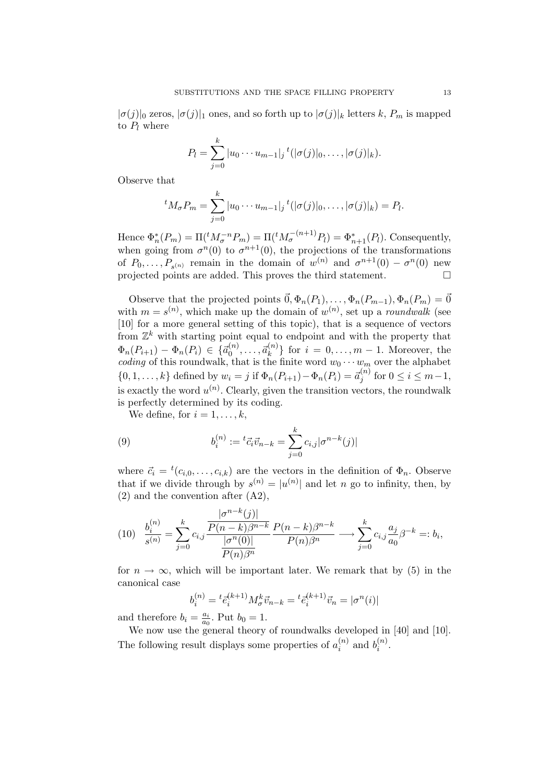$|\sigma(j)|_0$  zeros,  $|\sigma(j)|_1$  ones, and so forth up to  $|\sigma(j)|_k$  letters k,  $P_m$  is mapped to  $P_l$  where

$$
P_l = \sum_{j=0}^k |u_0 \cdots u_{m-1}|_j^{t} (|\sigma(j)|_0, \ldots, |\sigma(j)|_k).
$$

Observe that

$$
{}^{t}M_{\sigma}P_{m} = \sum_{j=0}^{k} |u_{0} \cdots u_{m-1}|_{j} {}^{t}(|\sigma(j)|_{0}, \ldots, |\sigma(j)|_{k}) = P_{l}.
$$

Hence  $\Phi_n^*(P_m) = \Pi({}^t M_{\sigma}^{-n} P_m) = \Pi({}^t M_{\sigma}^{-(n+1)} P_l) = \Phi_{n+1}^*(P_l)$ . Consequently, when going from  $\sigma^{n}(0)$  to  $\sigma^{n+1}(0)$ , the projections of the transformations of  $P_0, \ldots, P_{s(n)}$  remain in the domain of  $w^{(n)}$  and  $\sigma^{n+1}(0) - \sigma^n(0)$  new projected points are added. This proves the third statement.  $\Box$ 

Observe that the projected points  $\vec{0}, \Phi_n(P_1), \ldots, \Phi_n(P_{m-1}), \Phi_n(P_m) = \vec{0}$ with  $m = s^{(n)}$ , which make up the domain of  $w^{(n)}$ , set up a *roundwalk* (see [10] for a more general setting of this topic), that is a sequence of vectors from  $\mathbb{Z}^k$  with starting point equal to endpoint and with the property that  $\Phi_n(P_{i+1}) - \Phi_n(P_i) \in \{ \vec{a}_0^{(n)}, \dots, \vec{a}_k^{(n)} \}$  for  $i = 0, \dots, m-1$ . Moreover, the coding of this roundwalk, that is the finite word  $w_0 \cdots w_m$  over the alphabet  $\{0, 1, \ldots, k\}$  defined by  $w_i = j$  if  $\Phi_n(P_{i+1}) - \Phi_n(P_i) = \vec{a}_j^{(n)}$  for  $0 \le i \le m-1$ , is exactly the word  $u^{(n)}$ . Clearly, given the transition vectors, the roundwalk is perfectly determined by its coding.

We define, for  $i = 1, \ldots, k$ ,

(9) 
$$
b_i^{(n)} := {}^t \vec{c}_i \vec{v}_{n-k} = \sum_{j=0}^k c_{i,j} |\sigma^{n-k}(j)|
$$

where  $\vec{c}_i = {}^t(c_{i,0}, \ldots, c_{i,k})$  are the vectors in the definition of  $\Phi_n$ . Observe that if we divide through by  $s^{(n)} = |u^{(n)}|$  and let n go to infinity, then, by (2) and the convention after (A2),

(10) 
$$
\frac{b_i^{(n)}}{s^{(n)}} = \sum_{j=0}^k c_{i,j} \frac{\frac{|\sigma^{n-k}(j)|}{P(n-k)\beta^{n-k}}}{\frac{|\sigma^n(0)|}{P(n)\beta^n}} \frac{P(n-k)\beta^{n-k}}{P(n)\beta^n} \longrightarrow \sum_{j=0}^k c_{i,j} \frac{a_j}{a_0} \beta^{-k} =: b_i,
$$

for  $n \to \infty$ , which will be important later. We remark that by (5) in the canonical case

$$
b_i^{(n)} = {}^t\bar{e}_i^{(k+1)} M^k_{\sigma} \vec{v}_{n-k} = {}^t\bar{e}_i^{(k+1)} \vec{v}_n = |\sigma^n(i)|
$$

and therefore  $b_i = \frac{a_i}{a_0}$  $\frac{a_i}{a_0}$ . Put  $b_0 = 1$ .

We now use the general theory of roundwalks developed in [40] and [10]. The following result displays some properties of  $a_i^{(n)}$  $i^{(n)}$  and  $b_i^{(n)}$  $\binom{n}{i}$ .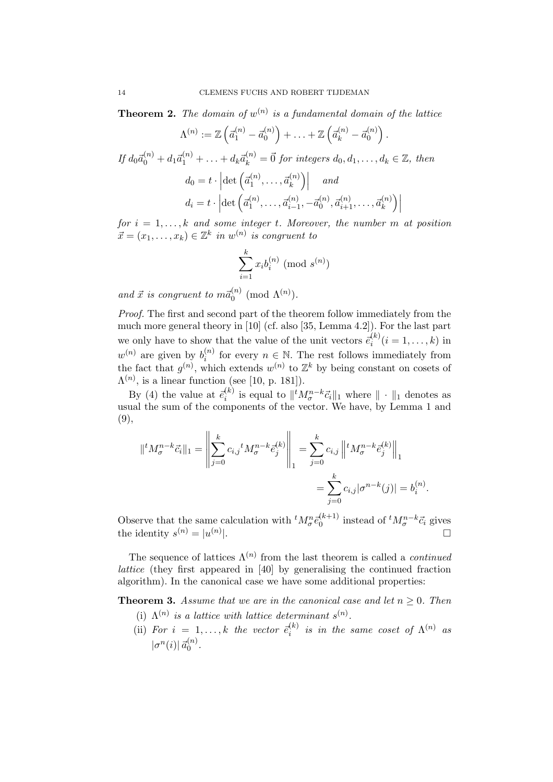**Theorem 2.** The domain of  $w^{(n)}$  is a fundamental domain of the lattice

$$
\Lambda^{(n)} := \mathbb{Z} \left( \vec{a}_1^{(n)} - \vec{a}_0^{(n)} \right) + \ldots + \mathbb{Z} \left( \vec{a}_k^{(n)} - \vec{a}_0^{(n)} \right)
$$

.

$$
If d_0\vec{a}_0^{(n)} + d_1\vec{a}_1^{(n)} + \dots + d_k\vec{a}_k^{(n)} = \vec{0} \text{ for integers } d_0, d_1, \dots, d_k \in \mathbb{Z}, \text{ then}
$$

$$
d_0 = t \cdot \left| \det \left( \vec{a}_1^{(n)}, \dots, \vec{a}_k^{(n)} \right) \right| \text{ and}
$$

$$
d_i = t \cdot \left| \det \left( \vec{a}_1^{(n)}, \dots, \vec{a}_{i-1}^{(n)}, -\vec{a}_0^{(n)}, \vec{a}_{i+1}^{(n)}, \dots, \vec{a}_k^{(n)} \right) \right|
$$

for  $i = 1, \ldots, k$  and some integer t. Moreover, the number m at position  $\vec{x} = (x_1, \ldots, x_k) \in \mathbb{Z}^k$  in  $w^{(n)}$  is congruent to

$$
\sum_{i=1}^{k} x_i b_i^{(n)} \pmod{s^{(n)}}
$$

and  $\vec{x}$  is congruent to  $m\vec{a}_0^{(n)}$  (mod  $\Lambda^{(n)}$ ).

Proof. The first and second part of the theorem follow immediately from the much more general theory in [10] (cf. also [35, Lemma 4.2]). For the last part we only have to show that the value of the unit vectors  $\vec{e}_i^{(k)}$   $(i = 1, \ldots, k)$  in i  $w^{(n)}$  are given by  $b_i^{(n)}$  $\binom{n}{i}$  for every  $n \in \mathbb{N}$ . The rest follows immediately from the fact that  $g^{(n)}$ , which extends  $w^{(n)}$  to  $\mathbb{Z}^k$  by being constant on cosets of  $\Lambda^{(n)}$ , is a linear function (see [10, p. 181]).

By (4) the value at  $\vec{e}_i^{(k)}$  is equal to  $||^t M_{\sigma}^{n-k} \vec{c}_i||_1$  where  $|| \cdot ||_1$  denotes as usual the sum of the components of the vector. We have, by Lemma 1 and (9),

$$
\| {}^{t} M_{\sigma}^{n-k} \vec{c}_{i} \|_{1} = \left\| \sum_{j=0}^{k} c_{i,j} {}^{t} M_{\sigma}^{n-k} \vec{e}_{j}^{(k)} \right\|_{1} = \sum_{j=0}^{k} c_{i,j} \left\| {}^{t} M_{\sigma}^{n-k} \vec{e}_{j}^{(k)} \right\|_{1}
$$

$$
= \sum_{j=0}^{k} c_{i,j} |\sigma^{n-k}(j)| = b_{i}^{(n)}.
$$

Observe that the same calculation with  ${}^t M_{\sigma}^n \bar{e}_0^{(k+1)}$  instead of  ${}^t M_{\sigma}^{n-k} \bar{e}_i$  gives the identity  $s^{(n)} = |u^{(n)}|$  $\Box$ 

The sequence of lattices  $\Lambda^{(n)}$  from the last theorem is called a *continued* lattice (they first appeared in [40] by generalising the continued fraction algorithm). In the canonical case we have some additional properties:

**Theorem 3.** Assume that we are in the canonical case and let  $n \geq 0$ . Then

- (i)  $\Lambda^{(n)}$  is a lattice with lattice determinant  $s^{(n)}$ .
- (ii) For  $i = 1, ..., k$  the vector  $\bar{e}_i^{(k)}$  is in the same coset of  $\Lambda^{(n)}$  as  $|\sigma^n(i)| \, \vec{a}_0^{(n)}$ .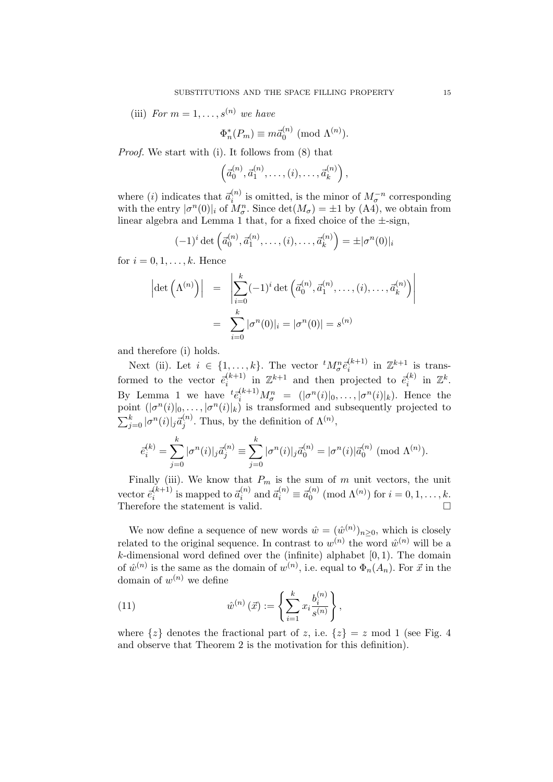(iii) For  $m = 1, \ldots, s^{(n)}$  we have

$$
\Phi_n^*(P_m) \equiv m\vec{a}_0^{(n)} \pmod{\Lambda^{(n)}}.
$$

Proof. We start with (i). It follows from (8) that

$$
\left(\vec{a}_0^{(n)}, \vec{a}_1^{(n)}, \ldots, (i), \ldots, \vec{a}_k^{(n)}\right),
$$

where (i) indicates that  $\vec{a}_i^{(n)}$  is omitted, is the minor of  $M_{\sigma}^{-n}$  corresponding with the entry  $|\sigma^n(0)|_i$  of  $M_{\sigma}^n$ . Since  $\det(M_{\sigma}) = \pm 1$  by (A4), we obtain from linear algebra and Lemma 1 that, for a fixed choice of the  $\pm$ -sign,

$$
(-1)^i \det \left( \vec{a}_0^{(n)}, \vec{a}_1^{(n)}, \dots, (i), \dots, \vec{a}_k^{(n)} \right) = \pm |\sigma^n(0)|_i
$$

for  $i = 0, 1, \ldots, k$ . Hence

$$
\left| \det \left( \Lambda^{(n)} \right) \right| = \left| \sum_{i=0}^{k} (-1)^i \det \left( \vec{a}_0^{(n)}, \vec{a}_1^{(n)}, \dots, (i), \dots, \vec{a}_k^{(n)} \right) \right|
$$

$$
= \sum_{i=0}^{k} |\sigma^n(0)|_i = |\sigma^n(0)| = s^{(n)}
$$

and therefore (i) holds.

Next (ii). Let  $i \in \{1,\ldots,k\}$ . The vector  ${}^t M^n_{\sigma} \bar{e}_i^{(k+1)}$  in  $\mathbb{Z}^{k+1}$  is transformed to the vector  $\vec{e}_i^{(k+1)}$  in  $\mathbb{Z}^{k+1}$  and then projected to  $\vec{e}_i^{(k)}$  in  $\mathbb{Z}^k$ . By Lemma 1 we have  ${}^{t}\bar{e}_{i}^{(k+1)}M_{\sigma}^{n} = (|\sigma^{n}(i)|_{0}, \ldots, |\sigma^{n}(i)|_{k})$ . Hence the point  $(|\sigma^n(i)|_0, \ldots, |\sigma^n(i)|_k)$  is transformed and subsequently projected to  $\sum_{j=0}^{k} |\sigma^n(i)|_j \vec{a}_j^{(n)}$ . Thus, by the definition of  $\Lambda^{(n)}$ ,

$$
\bar{e}_i^{(k)} = \sum_{j=0}^k |\sigma^n(i)|_j \vec{a}_j^{(n)} \equiv \sum_{j=0}^k |\sigma^n(i)|_j \vec{a}_0^{(n)} = |\sigma^n(i)| \vec{a}_0^{(n)} \pmod{\Lambda^{(n)}}.
$$

Finally (iii). We know that  $P_m$  is the sum of m unit vectors, the unit vector  $\vec{e}_i^{(k+1)}$  is mapped to  $\vec{a}_i^{(n)}$  and  $\vec{a}_i^{(n)} \equiv \vec{a}_0^{(n)} \pmod{\Lambda^{(n)}}$  for  $i = 0, 1, \ldots, k$ . Therefore the statement is valid.  $\Box$ 

We now define a sequence of new words  $\hat{w} = (\hat{w}^{(n)})_{n \geq 0}$ , which is closely related to the original sequence. In contrast to  $w^{(n)}$  the word  $\hat{w}^{(n)}$  will be a  $k$ -dimensional word defined over the (infinite) alphabet  $[0, 1)$ . The domain of  $\hat{w}^{(n)}$  is the same as the domain of  $w^{(n)}$ , i.e. equal to  $\Phi_n(A_n)$ . For  $\vec{x}$  in the domain of  $w^{(n)}$  we define

(11) 
$$
\hat{w}^{(n)}(\vec{x}) := \left\{ \sum_{i=1}^{k} x_i \frac{b_i^{(n)}}{s^{(n)}} \right\},
$$

where  $\{z\}$  denotes the fractional part of z, i.e.  $\{z\} = z \mod 1$  (see Fig. 4) and observe that Theorem 2 is the motivation for this definition).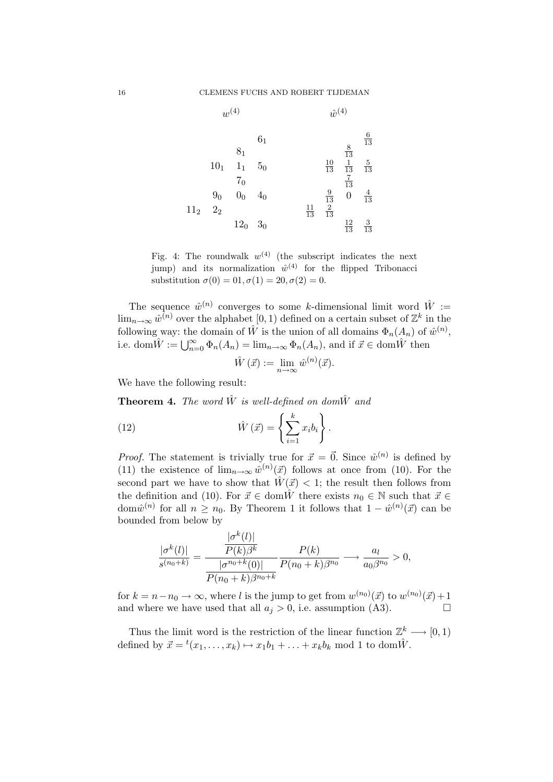

Fig. 4: The roundwalk  $w^{(4)}$  (the subscript indicates the next jump) and its normalization  $\hat{w}^{(4)}$  for the flipped Tribonacci substitution  $\sigma(0) = 0. \sigma(1) = 20, \sigma(2) = 0.$ 

The sequence  $\hat{w}^{(n)}$  converges to some k-dimensional limit word  $\hat{W}$  :=  $\lim_{n\to\infty} \hat{w}^{(n)}$  over the alphabet  $[0,1)$  defined on a certain subset of  $\mathbb{Z}^k$  in the following way: the domain of  $\hat{W}$  is the union of all domains  $\Phi_n(A_n)$  of  $\hat{w}^{(n)}$ , i.e. dom $\hat{W} := \bigcup_{n=0}^{\infty} \Phi_n(A_n) = \lim_{n \to \infty} \Phi_n(A_n)$ , and if  $\vec{x} \in \text{dom}\hat{W}$  then

$$
\hat{W}(\vec{x}) := \lim_{n \to \infty} \hat{w}^{(n)}(\vec{x}).
$$

We have the following result:

**Theorem 4.** The word  $\hat{W}$  is well-defined on dom $\hat{W}$  and

(12) 
$$
\hat{W}(\vec{x}) = \left\{ \sum_{i=1}^{k} x_i b_i \right\}.
$$

*Proof.* The statement is trivially true for  $\vec{x} = \vec{0}$ . Since  $\hat{w}^{(n)}$  is defined by (11) the existence of  $\lim_{n\to\infty} \hat{w}^{(n)}(\vec{x})$  follows at once from (10). For the second part we have to show that  $\hat{W}(\vec{x}) < 1$ ; the result then follows from the definition and (10). For  $\vec{x} \in \text{dom}\hat{W}$  there exists  $n_0 \in \mathbb{N}$  such that  $\vec{x} \in$ dom $\hat{w}^{(n)}$  for all  $n \geq n_0$ . By Theorem 1 it follows that  $1 - \hat{w}^{(n)}(\vec{x})$  can be bounded from below by

$$
\frac{|\sigma^k(l)|}{s^{(n_0+k)}} = \frac{\frac{|\sigma^k(l)|}{P(k)\beta^k}}{\frac{|\sigma^{n_0+k}(0)|}{P(n_0+k)\beta^{n_0+k}}} \frac{P(k)}{P(n_0+k)\beta^{n_0}} \longrightarrow \frac{a_l}{a_0\beta^{n_0}} > 0,
$$

for  $k = n - n_0 \rightarrow \infty$ , where l is the jump to get from  $w^{(n_0)}(\vec{x})$  to  $w^{(n_0)}(\vec{x}) + 1$ and where we have used that all  $a_j > 0$ , i.e. assumption (A3).

Thus the limit word is the restriction of the linear function  $\mathbb{Z}_{\zeta}^{k} \longrightarrow [0,1)$ defined by  $\vec{x} = {}^{t}(x_1, \ldots, x_k) \mapsto x_1b_1 + \ldots + x_kb_k \mod 1$  to dom $\hat{W}$ .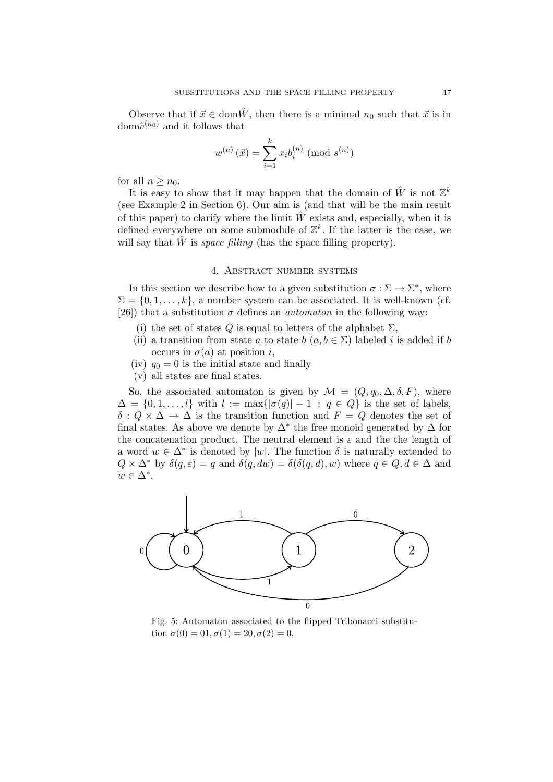Observe that if  $\vec{x} \in \text{dom}\hat{W}$ , then there is a minimal  $n_0$  such that  $\vec{x}$  is in dom $\hat{w}^{(n_0)}$  and it follows that

$$
w^{(n)}(\vec{x}) = \sum_{i=1}^{k} x_i b_i^{(n)} \pmod{s^{(n)}}
$$

for all  $n \geq n_0$ .

It is easy to show that it may happen that the domain of  $\hat{W}$  is not  $\mathbb{Z}^k$ (see Example 2 in Section 6). Our aim is (and that will be the main result of this paper) to clarify where the limit  $\hat{W}$  exists and, especially, when it is defined everywhere on some submodule of  $\mathbb{Z}^k$ . If the latter is the case, we will say that  $\hat{W}$  is *space filling* (has the space filling property).

# 4. Abstract number systems

In this section we describe how to a given substitution  $\sigma : \Sigma \to \Sigma^*$ , where  $\Sigma = \{0, 1, \ldots, k\},$  a number system can be associated. It is well-known (cf. [26]) that a substitution  $\sigma$  defines an *automaton* in the following way:

- (i) the set of states Q is equal to letters of the alphabet  $\Sigma$ ,
- (ii) a transition from state a to state b  $(a, b \in \Sigma)$  labeled i is added if b occurs in  $\sigma(a)$  at position i,
- (iv)  $q_0 = 0$  is the initial state and finally
- (v) all states are final states.

So, the associated automaton is given by  $\mathcal{M} = (Q, q_0, \Delta, \delta, F)$ , where  $\Delta = \{0, 1, \ldots, l\}$  with  $l := \max\{|\sigma(q)| - 1 : q \in Q\}$  is the set of labels,  $\delta: Q \times \Delta \to \Delta$  is the transition function and  $F = Q$  denotes the set of final states. As above we denote by  $\Delta^*$  the free monoid generated by  $\Delta$  for the concatenation product. The neutral element is  $\varepsilon$  and the the length of a word  $w \in \Delta^*$  is denoted by |w|. The function  $\delta$  is naturally extended to  $Q \times \Delta^*$  by  $\delta(q, \varepsilon) = q$  and  $\delta(q, dw) = \delta(\delta(q, d), w)$  where  $q \in Q, d \in \Delta$  and  $w \in \Delta^*$ .



Fig. 5: Automaton associated to the flipped Tribonacci substitution  $\sigma(0) = 0.1, \sigma(1) = 20, \sigma(2) = 0.$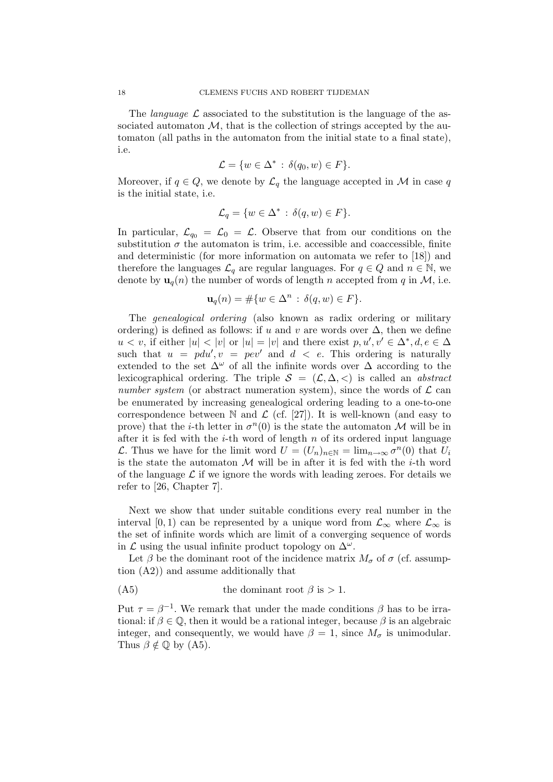The *language*  $\mathcal L$  associated to the substitution is the language of the associated automaton  $M$ , that is the collection of strings accepted by the automaton (all paths in the automaton from the initial state to a final state), i.e.

$$
\mathcal{L} = \{ w \in \Delta^* \, : \, \delta(q_0, w) \in F \}.
$$

Moreover, if  $q \in Q$ , we denote by  $\mathcal{L}_q$  the language accepted in  $\mathcal M$  in case  $q$ is the initial state, i.e.

$$
\mathcal{L}_q = \{ w \in \Delta^* \, : \, \delta(q, w) \in F \}.
$$

In particular,  $\mathcal{L}_{q_0} = \mathcal{L}_0 = \mathcal{L}$ . Observe that from our conditions on the substitution  $\sigma$  the automaton is trim, i.e. accessible and coaccessible, finite and deterministic (for more information on automata we refer to [18]) and therefore the languages  $\mathcal{L}_q$  are regular languages. For  $q \in Q$  and  $n \in \mathbb{N}$ , we denote by  $\mathbf{u}_q(n)$  the number of words of length n accepted from q in  $\mathcal{M}$ , i.e.

$$
\mathbf{u}_q(n) = \# \{ w \in \Delta^n \, : \, \delta(q, w) \in F \}.
$$

The genealogical ordering (also known as radix ordering or military ordering) is defined as follows: if u and v are words over  $\Delta$ , then we define  $u < v$ , if either  $|u| < |v|$  or  $|u| = |v|$  and there exist  $p, u', v' \in \Delta^*, d, e \in \Delta$ such that  $u = pdu', v = pev'$  and  $d < e$ . This ordering is naturally extended to the set  $\Delta^{\omega}$  of all the infinite words over  $\Delta$  according to the lexicographical ordering. The triple  $S = (\mathcal{L}, \Delta, \langle)$  is called an *abstract* number system (or abstract numeration system), since the words of  $\mathcal L$  can be enumerated by increasing genealogical ordering leading to a one-to-one correspondence between  $\mathbb N$  and  $\mathcal L$  (cf. [27]). It is well-known (and easy to prove) that the *i*-th letter in  $\sigma^n(0)$  is the state the automaton M will be in after it is fed with the *i*-th word of length  $n$  of its ordered input language L. Thus we have for the limit word  $U = (U_n)_{n \in \mathbb{N}} = \lim_{n \to \infty} \sigma^n(0)$  that  $U_i$ is the state the automaton  $M$  will be in after it is fed with the *i*-th word of the language  $\mathcal L$  if we ignore the words with leading zeroes. For details we refer to [26, Chapter 7].

Next we show that under suitable conditions every real number in the interval [0, 1) can be represented by a unique word from  $\mathcal{L}_{\infty}$  where  $\mathcal{L}_{\infty}$  is the set of infinite words which are limit of a converging sequence of words in  $\mathcal L$  using the usual infinite product topology on  $\Delta^\omega$ .

Let  $\beta$  be the dominant root of the incidence matrix  $M_{\sigma}$  of  $\sigma$  (cf. assumption (A2)) and assume additionally that

(A5) the dominant root 
$$
\beta
$$
 is > 1.

Put  $\tau = \beta^{-1}$ . We remark that under the made conditions  $\beta$  has to be irrational: if  $\beta \in \mathbb{Q}$ , then it would be a rational integer, because  $\beta$  is an algebraic integer, and consequently, we would have  $\beta = 1$ , since  $M_{\sigma}$  is unimodular. Thus  $\beta \notin \mathbb{Q}$  by (A5).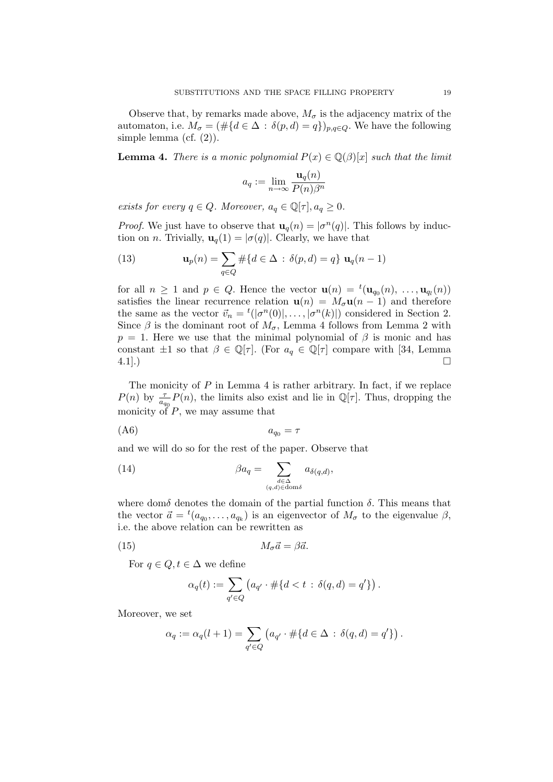Observe that, by remarks made above,  $M_{\sigma}$  is the adjacency matrix of the automaton, i.e.  $M_{\sigma} = (\# \{d \in \Delta : \delta(p, d) = q\})_{p,q \in Q}$ . We have the following simple lemma (cf.  $(2)$ ).

**Lemma 4.** There is a monic polynomial  $P(x) \in \mathbb{Q}(\beta)[x]$  such that the limit

$$
a_q := \lim_{n \to \infty} \frac{\mathbf{u}_q(n)}{P(n)\beta^n}
$$

exists for every  $q \in Q$ . Moreover,  $a_q \in \mathbb{Q}[\tau], a_q \geq 0$ .

*Proof.* We just have to observe that  $\mathbf{u}_q(n) = |\sigma^n(q)|$ . This follows by induction on *n*. Trivially,  $\mathbf{u}_q(1) = |\sigma(q)|$ . Clearly, we have that

(13) 
$$
\mathbf{u}_p(n) = \sum_{q \in Q} \# \{ d \in \Delta : \delta(p, d) = q \} \mathbf{u}_q(n-1)
$$

for all  $n \geq 1$  and  $p \in Q$ . Hence the vector  $\mathbf{u}(n) = {}^{t}(\mathbf{u}_{q_0}(n), \ldots, \mathbf{u}_{q_l}(n))$ satisfies the linear recurrence relation  $\mathbf{u}(n) = M_{\sigma} \mathbf{u}(n-1)$  and therefore the same as the vector  $\vec{v}_n = {}^t(|\sigma^n(0)|, \ldots, |\sigma^n(k)|)$  considered in Section 2. Since  $\beta$  is the dominant root of  $M_{\sigma}$ , Lemma 4 follows from Lemma 2 with  $p = 1$ . Here we use that the minimal polynomial of  $\beta$  is monic and has constant  $\pm 1$  so that  $\beta \in \mathbb{Q}[\tau]$ . (For  $a_q \in \mathbb{Q}[\tau]$  compare with [34, Lemma 4.1].)  $4.1$ .)

The monicity of  $P$  in Lemma 4 is rather arbitrary. In fact, if we replace  $P(n)$  by  $\frac{\tau}{a_{q_0}}P(n)$ , the limits also exist and lie in  $\mathbb{Q}[\tau]$ . Thus, dropping the monicity of  $P$ , we may assume that

$$
(A6) \t\t\t a_{q_0} = \tau
$$

and we will do so for the rest of the paper. Observe that

(14) 
$$
\beta a_q = \sum_{\substack{d \in \Delta \\ (q,d) \in \text{dom}\delta}} a_{\delta(q,d)},
$$

where dom $\delta$  denotes the domain of the partial function  $\delta$ . This means that the vector  $\vec{a} = {}^t(a_{q_0}, \ldots, a_{q_k})$  is an eigenvector of  $M_{\sigma}$  to the eigenvalue  $\beta$ , i.e. the above relation can be rewritten as

(15) 
$$
M_{\sigma}\vec{a} = \beta\vec{a}.
$$

For  $q \in Q, t \in \Delta$  we define

$$
\alpha_q(t) := \sum_{q' \in Q} \left( a_{q'} \cdot \# \{ d < t \, : \, \delta(q, d) = q' \} \right).
$$

Moreover, we set

$$
\alpha_q := \alpha_q(l+1) = \sum_{q' \in Q} \left( a_{q'} \cdot \# \{ d \in \Delta \, : \, \delta(q, d) = q' \} \right).
$$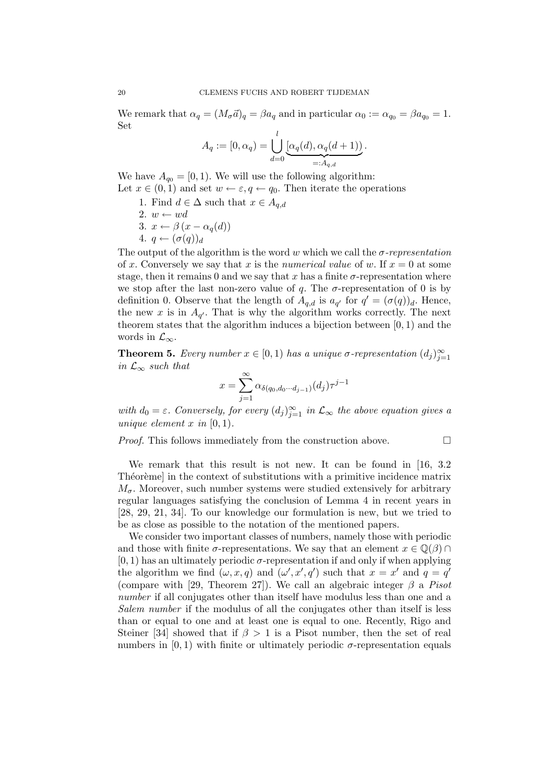We remark that  $\alpha_q = (M_\sigma \vec{a})_q = \beta a_q$  and in particular  $\alpha_0 := \alpha_{q_0} = \beta a_{q_0} = 1$ . Set

$$
A_q := [0, \alpha_q) = \bigcup_{d=0}^l \underbrace{[\alpha_q(d), \alpha_q(d+1)]}_{=: A_{q,d}}.
$$

We have  $A_{q_0} = [0, 1)$ . We will use the following algorithm: Let  $x \in (0,1)$  and set  $w \leftarrow \varepsilon, q \leftarrow q_0$ . Then iterate the operations

- 1. Find  $d \in \Delta$  such that  $x \in A_{q,d}$
- 2.  $w \leftarrow wd$
- 3.  $x \leftarrow \beta(x \alpha_q(d))$
- 4.  $q \leftarrow (\sigma(q))_d$

The output of the algorithm is the word w which we call the  $\sigma$ -representation of x. Conversely we say that x is the numerical value of w. If  $x = 0$  at some stage, then it remains 0 and we say that x has a finite  $\sigma$ -representation where we stop after the last non-zero value of q. The  $\sigma$ -representation of 0 is by definition 0. Observe that the length of  $A_{q,d}$  is  $a_{q'}$  for  $q' = (\sigma(q))_d$ . Hence, the new x is in  $A_{q'}$ . That is why the algorithm works correctly. The next theorem states that the algorithm induces a bijection between  $[0, 1)$  and the words in  $\mathcal{L}_{\infty}$ .

**Theorem 5.** Every number  $x \in [0, 1)$  has a unique  $\sigma$ -representation  $(d_j)_{j=1}^{\infty}$ in  $\mathcal{L}_{\infty}$  such that

$$
x = \sum_{j=1}^{\infty} \alpha_{\delta(q_0, d_0 \cdots d_{j-1})}(d_j) \tau^{j-1}
$$

with  $d_0 = \varepsilon$ . Conversely, for every  $(d_j)_{j=1}^{\infty}$  in  $\mathcal{L}_{\infty}$  the above equation gives a unique element x in  $[0, 1)$ .

Proof. This follows immediately from the construction above.

$$
\qquad \qquad \Box
$$

We remark that this result is not new. It can be found in [16, 3.2] Theoreme] in the context of substitutions with a primitive incidence matrix  $M_{\sigma}$ . Moreover, such number systems were studied extensively for arbitrary regular languages satisfying the conclusion of Lemma 4 in recent years in [28, 29, 21, 34]. To our knowledge our formulation is new, but we tried to be as close as possible to the notation of the mentioned papers.

We consider two important classes of numbers, namely those with periodic and those with finite  $\sigma$ -representations. We say that an element  $x \in \mathbb{Q}(\beta) \cap$  $[0, 1)$  has an ultimately periodic  $\sigma$ -representation if and only if when applying the algorithm we find  $(\omega, x, q)$  and  $(\omega', x', q')$  such that  $x = x'$  and  $q = q'$ (compare with [29, Theorem 27]). We call an algebraic integer  $\beta$  a *Pisot* number if all conjugates other than itself have modulus less than one and a Salem number if the modulus of all the conjugates other than itself is less than or equal to one and at least one is equal to one. Recently, Rigo and Steiner [34] showed that if  $\beta > 1$  is a Pisot number, then the set of real numbers in  $(0, 1)$  with finite or ultimately periodic  $\sigma$ -representation equals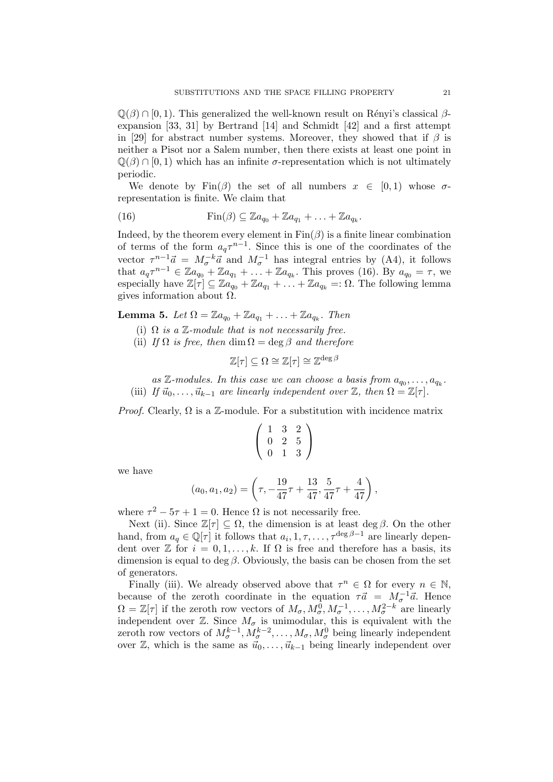$\mathbb{Q}(\beta) \cap [0,1)$ . This generalized the well-known result on Rényi's classical  $\beta$ expansion [33, 31] by Bertrand [14] and Schmidt [42] and a first attempt in [29] for abstract number systems. Moreover, they showed that if  $\beta$  is neither a Pisot nor a Salem number, then there exists at least one point in  $\mathbb{Q}(\beta) \cap [0,1)$  which has an infinite  $\sigma$ -representation which is not ultimately periodic.

We denote by  $\text{Fin}(\beta)$  the set of all numbers  $x \in [0,1)$  whose  $\sigma$ representation is finite. We claim that

(16) 
$$
\operatorname{Fin}(\beta) \subseteq \mathbb{Z}a_{q_0} + \mathbb{Z}a_{q_1} + \ldots + \mathbb{Z}a_{q_k}.
$$

Indeed, by the theorem every element in  $\text{Fin}(\beta)$  is a finite linear combination of terms of the form  $a_q\tau^{n-1}$ . Since this is one of the coordinates of the vector  $\tau^{n-1}\vec{a} = M_{\sigma}^{-k}\vec{a}$  and  $M_{\sigma}^{-1}$  has integral entries by (A4), it follows that  $a_q \tau^{n-1} \in \mathbb{Z}a_{q_0} + \mathbb{Z}a_{q_1} + \ldots + \mathbb{Z}a_{q_k}$ . This proves (16). By  $a_{q_0} = \tau$ , we especially have  $\mathbb{Z}[\tau] \subseteq \mathbb{Z}a_{q_0}^T + \mathbb{Z}a_{q_1} + \ldots + \mathbb{Z}a_{q_k} =: \Omega$ . The following lemma gives information about  $\Omega$ .

**Lemma 5.** Let  $\Omega = \mathbb{Z}a_{q_0} + \mathbb{Z}a_{q_1} + \ldots + \mathbb{Z}a_{q_k}$ . Then

- (i)  $\Omega$  is a  $\mathbb{Z}$ -module that is not necessarily free.
- (ii) If  $\Omega$  is free, then dim  $\Omega = \deg \beta$  and therefore

$$
\mathbb{Z}[\tau] \subseteq \Omega \cong \mathbb{Z}[\tau] \cong \mathbb{Z}^{\deg \beta}
$$

as  $\mathbb{Z}\text{-modules.}$  In this case we can choose a basis from  $a_{q_0}, \ldots, a_{q_k}$ . (iii) If  $\vec{u}_0, \ldots, \vec{u}_{k-1}$  are linearly independent over  $\mathbb{Z}$ , then  $\Omega = \mathbb{Z}[\tau]$ .

*Proof.* Clearly,  $\Omega$  is a Z-module. For a substitution with incidence matrix

$$
\left(\begin{array}{ccc} 1 & 3 & 2 \\ 0 & 2 & 5 \\ 0 & 1 & 3 \end{array}\right)
$$

we have

$$
(a_0, a_1, a_2) = \left(\tau, -\frac{19}{47}\tau + \frac{13}{47}, \frac{5}{47}\tau + \frac{4}{47}\right),
$$

where  $\tau^2 - 5\tau + 1 = 0$ . Hence  $\Omega$  is not necessarily free.

Next (ii). Since  $\mathbb{Z}[\tau] \subseteq \Omega$ , the dimension is at least deg  $\beta$ . On the other hand, from  $a_q \in \mathbb{Q}[\tau]$  it follows that  $a_i, 1, \tau, \ldots, \tau^{\deg \beta - 1}$  are linearly dependent over  $\mathbb Z$  for  $i = 0, 1, \ldots, k$ . If  $\Omega$  is free and therefore has a basis, its dimension is equal to deg  $\beta$ . Obviously, the basis can be chosen from the set of generators.

Finally (iii). We already observed above that  $\tau^n \in \Omega$  for every  $n \in \mathbb{N}$ , because of the zeroth coordinate in the equation  $\tau \vec{a} = M_{\sigma}^{-1} \vec{a}$ . Hence  $\Omega = \mathbb{Z}[\tau]$  if the zeroth row vectors of  $M_{\sigma}, M_{\sigma}^0, M_{\sigma}^{-1}, \ldots, M_{\sigma}^{2-k}$  are linearly independent over  $\mathbb{Z}$ . Since  $M_{\sigma}$  is unimodular, this is equivalent with the zeroth row vectors of  $M^{k-1}_{\sigma}, M^{k-2}_{\sigma}, \ldots, M_{\sigma}, M^{0}_{\sigma}$  being linearly independent over  $\mathbb{Z}$ , which is the same as  $\vec{u}_0, \ldots, \vec{u}_{k-1}$  being linearly independent over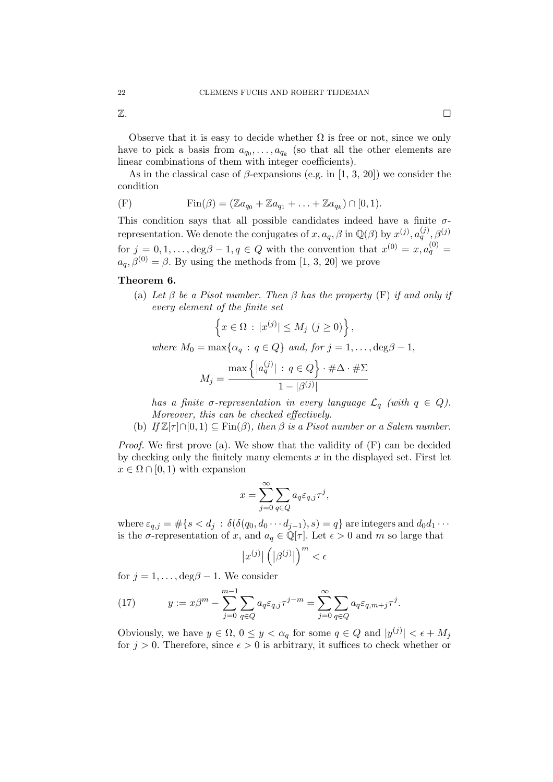$\mathbb Z$ .

Observe that it is easy to decide whether  $\Omega$  is free or not, since we only have to pick a basis from  $a_{q_0}, \ldots, a_{q_k}$  (so that all the other elements are linear combinations of them with integer coefficients).

As in the classical case of  $\beta$ -expansions (e.g. in [1, 3, 20]) we consider the condition

(F) 
$$
\text{Fin}(\beta) = (\mathbb{Z}a_{q_0} + \mathbb{Z}a_{q_1} + ... + \mathbb{Z}a_{q_k}) \cap [0,1).
$$

This condition says that all possible candidates indeed have a finite  $\sigma$ representation. We denote the conjugates of  $x, a_q, \beta$  in  $\mathbb{Q}(\beta)$  by  $x^{(j)}, a_q^{(j)}, \beta^{(j)}$ for  $j = 0, 1, \ldots$ ,  $\deg \beta - 1, q \in Q$  with the convention that  $x^{(0)} = x, a_q^{(0)} =$  $a_q$ ,  $\beta^{(0)} = \beta$ . By using the methods from [1, 3, 20] we prove

# Theorem 6.

(a) Let  $\beta$  be a Pisot number. Then  $\beta$  has the property (F) if and only if every element of the finite set

$$
\left\{x \in \Omega : |x^{(j)}| \le M_j \ (j \ge 0)\right\},\
$$
  
where  $M_0 = \max\{\alpha_q : q \in Q\}$  and, for  $j = 1, ..., \deg\beta - 1$ ,

$$
M_j = \frac{\max\left\{|a_q^{(j)}| : q \in Q\right\} \cdot \#\Delta \cdot \#\Sigma}{1 - |\beta^{(j)}|}
$$

has a finite  $\sigma$ -representation in every language  $\mathcal{L}_q$  (with  $q \in Q$ ). Moreover, this can be checked effectively.

(b) If  $\mathbb{Z}[\tau] \cap [0,1) \subseteq \text{Fin}(\beta)$ , then  $\beta$  is a Pisot number or a Salem number.

Proof. We first prove (a). We show that the validity of (F) can be decided by checking only the finitely many elements  $x$  in the displayed set. First let  $x \in \Omega \cap [0,1)$  with expansion

$$
x = \sum_{j=0}^{\infty} \sum_{q \in Q} a_q \varepsilon_{q,j} \tau^j,
$$

where  $\varepsilon_{q,j} = \#\{s < d_j : \delta(\delta(q_0, d_0 \cdots d_{j-1}), s) = q\}$  are integers and  $d_0d_1 \cdots$ is the  $\sigma$ -representation of x, and  $a_q \in \mathbb{Q}[\tau]$ . Let  $\epsilon > 0$  and m so large that

$$
\left|x^{(j)}\right|\left(\left|\beta^{(j)}\right|\right)^m < \epsilon
$$

for  $j = 1, \ldots, \deg \beta - 1$ . We consider

(17) 
$$
y := x\beta^m - \sum_{j=0}^{m-1} \sum_{q \in Q} a_q \varepsilon_{q,j} \tau^{j-m} = \sum_{j=0}^{\infty} \sum_{q \in Q} a_q \varepsilon_{q,m+j} \tau^j.
$$

Obviously, we have  $y \in \Omega$ ,  $0 \le y < \alpha_q$  for some  $q \in Q$  and  $|y^{(j)}| < \epsilon + M_j$ for  $j > 0$ . Therefore, since  $\epsilon > 0$  is arbitrary, it suffices to check whether or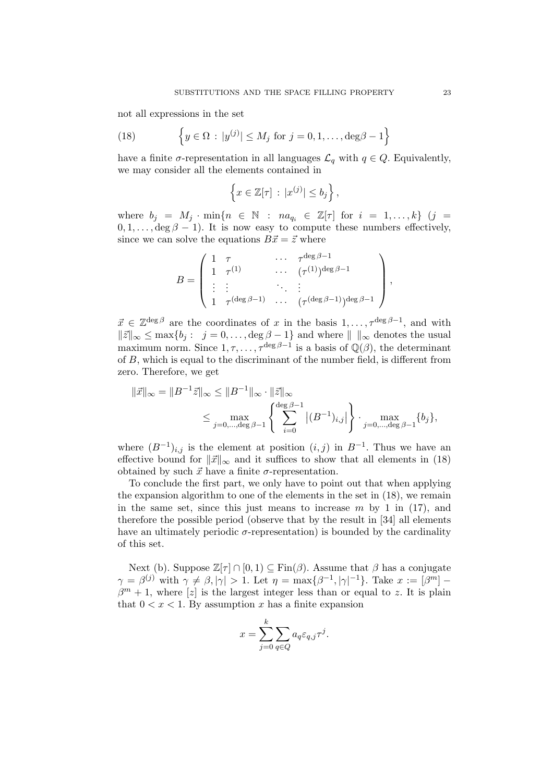not all expressions in the set

(18) 
$$
\left\{ y \in \Omega : |y^{(j)}| \le M_j \text{ for } j = 0, 1, ..., \deg \beta - 1 \right\}
$$

have a finite  $\sigma$ -representation in all languages  $\mathcal{L}_q$  with  $q \in Q$ . Equivalently, we may consider all the elements contained in

$$
\left\{x \in \mathbb{Z}[\tau] \, : \, |x^{(j)}| \le b_j\right\},\
$$

where  $b_j = M_j \cdot \min\{n \in \mathbb{N} : na_{q_i} \in \mathbb{Z}[\tau] \text{ for } i = 1, ..., k\}$  (j =  $0, 1, \ldots, \deg \beta - 1$ . It is now easy to compute these numbers effectively, since we can solve the equations  $B\vec{x} = \vec{z}$  where

$$
B = \left( \begin{array}{cccc} 1 & \tau & \cdots & \tau^{\deg \beta - 1} \\ 1 & \tau^{(1)} & \cdots & (\tau^{(1)})^{\deg \beta - 1} \\ \vdots & \vdots & \ddots & \vdots \\ 1 & \tau^{(\deg \beta - 1)} & \cdots & (\tau^{(\deg \beta - 1)})^{\deg \beta - 1} \end{array} \right)
$$

 $\vec{x} \in \mathbb{Z}^{\deg \beta}$  are the coordinates of x in the basis  $1, \ldots, \tau^{\deg \beta - 1}$ , and with  $\|\vec{z}\|_{\infty} \leq \max\{b_j : j = 0, \ldots, \deg \beta - 1\}$  and where  $\|\ \|_{\infty}$  denotes the usual maximum norm. Since  $1, \tau, \ldots, \tau^{\deg \beta - 1}$  is a basis of  $\mathbb{Q}(\beta)$ , the determinant of B, which is equal to the discriminant of the number field, is different from zero. Therefore, we get

$$
\|\vec{x}\|_{\infty} = \|B^{-1}\vec{z}\|_{\infty} \le \|B^{-1}\|_{\infty} \cdot \|\vec{z}\|_{\infty}
$$
  

$$
\le \max_{j=0,\dots,\deg\beta-1} \left\{ \sum_{i=0}^{\deg\beta-1} |(B^{-1})_{i,j}| \right\} \cdot \max_{j=0,\dots,\deg\beta-1} \{b_j\},
$$

where  $(B^{-1})_{i,j}$  is the element at position  $(i,j)$  in  $B^{-1}$ . Thus we have an effective bound for  $\|\vec{x}\|_{\infty}$  and it suffices to show that all elements in (18) obtained by such  $\vec{x}$  have a finite  $\sigma$ -representation.

To conclude the first part, we only have to point out that when applying the expansion algorithm to one of the elements in the set in (18), we remain in the same set, since this just means to increase  $m$  by 1 in (17), and therefore the possible period (observe that by the result in [34] all elements have an ultimately periodic  $\sigma$ -representation) is bounded by the cardinality of this set.

Next (b). Suppose  $\mathbb{Z}[\tau] \cap [0,1] \subseteq \text{Fin}(\beta)$ . Assume that  $\beta$  has a conjugate  $\gamma = \beta^{(j)}$  with  $\gamma \neq \beta, |\gamma| > 1$ . Let  $\eta = \max\{\beta^{-1}, |\gamma|^{-1}\}$ . Take  $x := [\beta^m] \beta^{m} + 1$ , where [z] is the largest integer less than or equal to z. It is plain that  $0 < x < 1$ . By assumption x has a finite expansion

$$
x = \sum_{j=0}^{k} \sum_{q \in Q} a_q \varepsilon_{q,j} \tau^j.
$$

,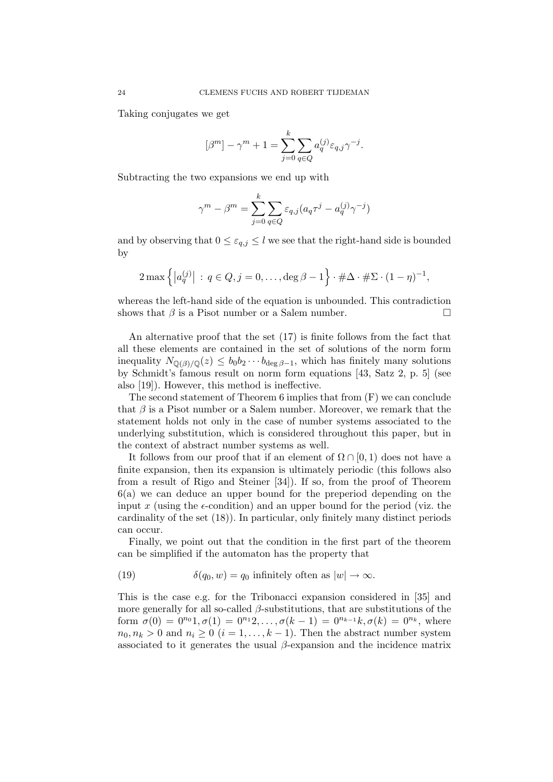Taking conjugates we get

$$
[\beta^m] - \gamma^m + 1 = \sum_{j=0}^k \sum_{q \in Q} a_q^{(j)} \varepsilon_{q,j} \gamma^{-j}.
$$

Subtracting the two expansions we end up with

$$
\gamma^m - \beta^m = \sum_{j=0}^k \sum_{q \in Q} \varepsilon_{q,j} (a_q \tau^j - a_q^{(j)} \gamma^{-j})
$$

and by observing that  $0 \leq \varepsilon_{q,j} \leq l$  we see that the right-hand side is bounded by

$$
2 \max \left\{ |a_q^{(j)}| \, : \, q \in Q, j = 0, \dots, \deg \beta - 1 \right\} \cdot \# \Delta \cdot \# \Sigma \cdot (1 - \eta)^{-1},
$$

whereas the left-hand side of the equation is unbounded. This contradiction shows that  $\beta$  is a Pisot number or a Salem number.  $\Box$ 

An alternative proof that the set (17) is finite follows from the fact that all these elements are contained in the set of solutions of the norm form inequality  $N_{\mathbb{Q}(\beta)/\mathbb{Q}}(z) \leq b_0b_2 \cdots b_{\deg \beta-1}$ , which has finitely many solutions by Schmidt's famous result on norm form equations [43, Satz 2, p. 5] (see also [19]). However, this method is ineffective.

The second statement of Theorem 6 implies that from (F) we can conclude that  $\beta$  is a Pisot number or a Salem number. Moreover, we remark that the statement holds not only in the case of number systems associated to the underlying substitution, which is considered throughout this paper, but in the context of abstract number systems as well.

It follows from our proof that if an element of  $\Omega \cap [0,1)$  does not have a finite expansion, then its expansion is ultimately periodic (this follows also from a result of Rigo and Steiner [34]). If so, from the proof of Theorem 6(a) we can deduce an upper bound for the preperiod depending on the input x (using the  $\epsilon$ -condition) and an upper bound for the period (viz. the cardinality of the set (18)). In particular, only finitely many distinct periods can occur.

Finally, we point out that the condition in the first part of the theorem can be simplified if the automaton has the property that

(19) 
$$
\delta(q_0, w) = q_0 \text{ infinitely often as } |w| \to \infty.
$$

This is the case e.g. for the Tribonacci expansion considered in [35] and more generally for all so-called  $\beta$ -substitutions, that are substitutions of the form  $\sigma(0) = 0^{n_0}1, \sigma(1) = 0^{n_1}2, \ldots, \sigma(k-1) = 0^{n_{k-1}}k, \sigma(k) = 0^{n_k}$ , where  $n_0, n_k > 0$  and  $n_i \geq 0$   $(i = 1, \ldots, k - 1)$ . Then the abstract number system associated to it generates the usual  $\beta$ -expansion and the incidence matrix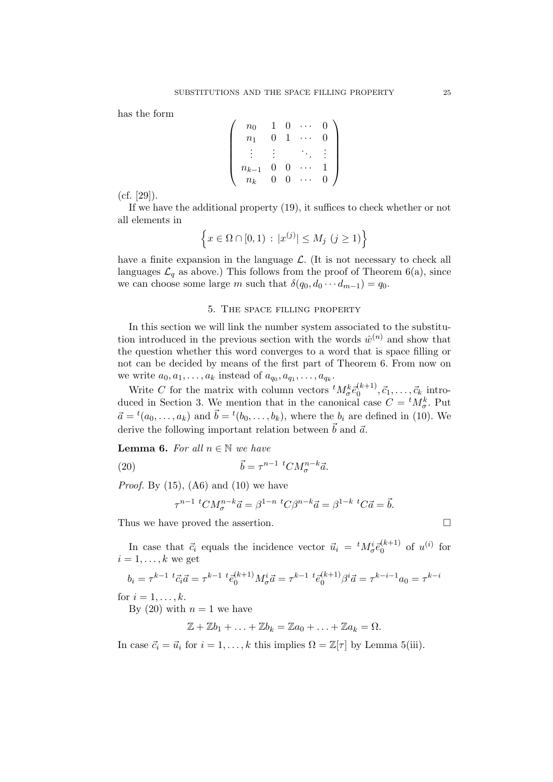has the form

$$
\left(\begin{array}{cccc} n_0 & 1 & 0 & \cdots & 0 \\ n_1 & 0 & 1 & \cdots & 0 \\ \vdots & \vdots & & \ddots & \vdots \\ n_{k-1} & 0 & 0 & \cdots & 1 \\ n_k & 0 & 0 & \cdots & 0 \end{array}\right)
$$

(cf. [29]).

If we have the additional property (19), it suffices to check whether or not all elements in

$$
\left\{ x \in \Omega \cap [0,1) \, : \, |x^{(j)}| \le M_j \ (j \ge 1) \right\}
$$

have a finite expansion in the language  $\mathcal{L}$ . (It is not necessary to check all languages  $\mathcal{L}_q$  as above.) This follows from the proof of Theorem 6(a), since we can choose some large m such that  $\delta(q_0, d_0 \cdots d_{m-1}) = q_0$ .

# 5. The space filling property

In this section we will link the number system associated to the substitution introduced in the previous section with the words  $\hat{w}^{(n)}$  and show that the question whether this word converges to a word that is space filling or not can be decided by means of the first part of Theorem 6. From now on we write  $a_0, a_1, \ldots, a_k$  instead of  $a_{q_0}, a_{q_1}, \ldots, a_{q_k}$ .

Write C for the matrix with column vectors  ${}^t M^k_\sigma \bar{e}^{(k+1)}_0, \vec{c}_1, \ldots, \vec{c}_k$  introduced in Section 3. We mention that in the canonical case  $C = {}^{t}M^{k}_{\sigma}$ . Put  $\vec{a} = {}^{t}(a_0, \ldots, a_k)$  and  $\vec{b} = {}^{t}(b_0, \ldots, b_k)$ , where the  $b_i$  are defined in (10). We derive the following important relation between  $\vec{b}$  and  $\vec{a}$ .

Lemma 6. For all  $n \in \mathbb{N}$  we have

(20) 
$$
\vec{b} = \tau^{n-1} {}^{t}C M_{\sigma}^{n-k} \vec{a}.
$$

*Proof.* By  $(15)$ ,  $(A6)$  and  $(10)$  we have

$$
^{n-1} {}^{t}CM_{\sigma}^{n-k} \vec{a} = \beta^{1-n} {}^{t}C\beta^{n-k} \vec{a} = \beta^{1-k} {}^{t}C\vec{a} = \vec{b}.
$$

Thus we have proved the assertion.  $\Box$ 

τ

In case that  $\vec{c}_i$  equals the incidence vector  $\vec{u}_i = {}^t M_{\sigma}^i \vec{e}_0^{(k+1)}$  of  $u^{(i)}$  for  $i = 1, \ldots, k$  we get

$$
b_i = \tau^{k-1}{}^{t} \vec{c}_i \vec{a} = \tau^{k-1}{}^{t} \vec{e}_0^{(k+1)} M^i_{\sigma} \vec{a} = \tau^{k-1}{}^{t} \vec{e}_0^{(k+1)} \beta^i \vec{a} = \tau^{k-i-1} a_0 = \tau^{k-i}
$$

for  $i = 1, \ldots, k$ .

By (20) with  $n = 1$  we have

 $\mathbb{Z} + \mathbb{Z}b_1 + \ldots + \mathbb{Z}b_k = \mathbb{Z}a_0 + \ldots + \mathbb{Z}a_k = \Omega.$ 

In case  $\vec{c}_i = \vec{u}_i$  for  $i = 1, ..., k$  this implies  $\Omega = \mathbb{Z}[\tau]$  by Lemma 5(iii).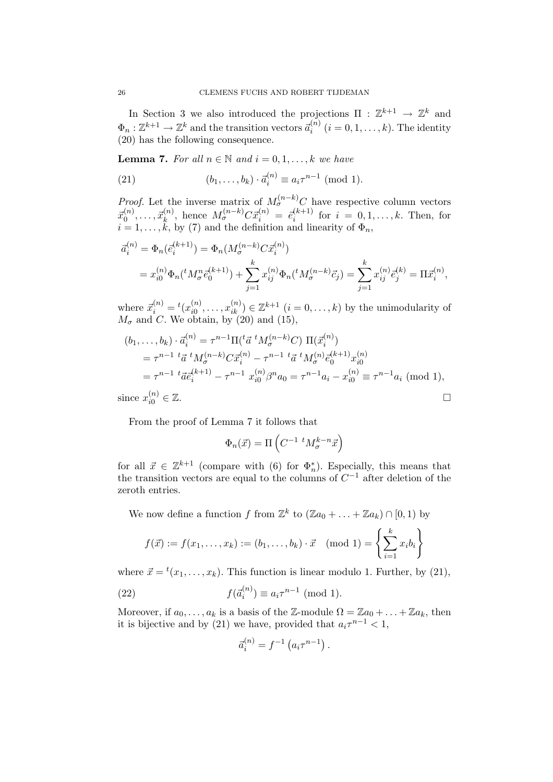In Section 3 we also introduced the projections  $\Pi : \mathbb{Z}^{k+1} \to \mathbb{Z}^k$  and  $\Phi_n: \mathbb{Z}^{k+1} \to \mathbb{Z}^k$  and the transition vectors  $\vec{a}_i^{(n)}$   $(i = 0, 1, \ldots, k)$ . The identity (20) has the following consequence.

**Lemma 7.** For all  $n \in \mathbb{N}$  and  $i = 0, 1, \ldots, k$  we have

(21) 
$$
(b_1, ..., b_k) \cdot \bar{a}_i^{(n)} \equiv a_i \tau^{n-1} \; (\text{mod } 1).
$$

*Proof.* Let the inverse matrix of  $M_{\sigma}^{(n-k)}C$  have respective column vectors  $\vec{x}_0^{(n)}, \ldots, \vec{x}_k^{(n)}$ , hence  $M_{\sigma}^{(n-k)} C \vec{x}_i^{(n)} = e_i^{(k+1)}$  for  $i = 0, 1, \ldots, k$ . Then, for  $i = 1, \ldots, k$ , by (7) and the definition and linearity of  $\Phi_n$ ,

$$
\overline{a}_{i}^{(n)} = \Phi_{n}(\overline{e}_{i}^{(k+1)}) = \Phi_{n}(M_{\sigma}^{(n-k)} C \overline{x}_{i}^{(n)})
$$
  
=  $x_{i0}^{(n)} \Phi_{n}({}^{t} M_{\sigma}^{n} \overline{e}_{0}^{(k+1)}) + \sum_{j=1}^{k} x_{ij}^{(n)} \Phi_{n}({}^{t} M_{\sigma}^{(n-k)} \overline{c}_{j}) = \sum_{j=1}^{k} x_{ij}^{(n)} \overline{e}_{j}^{(k)} = \Pi \overline{x}_{i}^{(n)},$ 

where  $\vec{x}_i^{(n)} = {}^t(x_{i0}^{(n)})$  $\hat{u}_0^{(n)}, \ldots, \hat{x}_{ik}^{(n)} \in \mathbb{Z}^{k+1}$   $(i = 0, \ldots, k)$  by the unimodularity of  $M_{\sigma}$  and C. We obtain, by (20) and (15),

$$
(b_1, \ldots, b_k) \cdot \vec{a}_i^{(n)} = \tau^{n-1} \Pi(\tau \vec{a}^t M_{\sigma}^{(n-k)} C) \Pi(\vec{x}_i^{(n)})
$$
  
=  $\tau^{n-1} \tau \vec{a}^t M_{\sigma}^{(n-k)} C \vec{x}_i^{(n)} - \tau^{n-1} \tau \vec{a}^t M_{\sigma}^{(n)} \vec{e}_0^{(k+1)} x_{i0}^{(n)}$   
=  $\tau^{n-1} \tau \vec{a} \vec{e}_i^{(k+1)} - \tau^{n-1} x_{i0}^{(n)} \beta^n a_0 = \tau^{n-1} a_i - x_{i0}^{(n)} \equiv \tau^{n-1} a_i \pmod{1},$ 

since  $x_{i0}^{(n)}$  $\sum_{i=0}^{(n)} \in \mathbb{Z}$ .

From the proof of Lemma 7 it follows that

$$
\Phi_n(\vec{x}) = \Pi \left( C^{-1} \ {}^t M^{k-n}_\sigma \vec{x} \right)
$$

for all  $\vec{x} \in \mathbb{Z}^{k+1}$  (compare with (6) for  $\Phi_n^*$ ). Especially, this means that the transition vectors are equal to the columns of  $C^{-1}$  after deletion of the zeroth entries.

We now define a function f from  $\mathbb{Z}^k$  to  $(\mathbb{Z}a_0 + \ldots + \mathbb{Z}a_k) \cap [0,1)$  by

$$
f(\vec{x}) := f(x_1, ..., x_k) := (b_1, ..., b_k) \cdot \vec{x} \pmod{1} = \left\{ \sum_{i=1}^k x_i b_i \right\}
$$

where  $\vec{x} = {}^{t}(x_1, \ldots, x_k)$ . This function is linear modulo 1. Further, by (21),

(22) 
$$
f(\vec{a}_i^{(n)}) \equiv a_i \tau^{n-1} \pmod{1}.
$$

Moreover, if  $a_0, \ldots, a_k$  is a basis of the Z-module  $\Omega = \mathbb{Z}a_0 + \ldots + \mathbb{Z}a_k$ , then it is bijective and by (21) we have, provided that  $a_i \tau^{n-1} < 1$ ,

$$
\vec{a}_i^{(n)} = f^{-1} \left( a_i \tau^{n-1} \right).
$$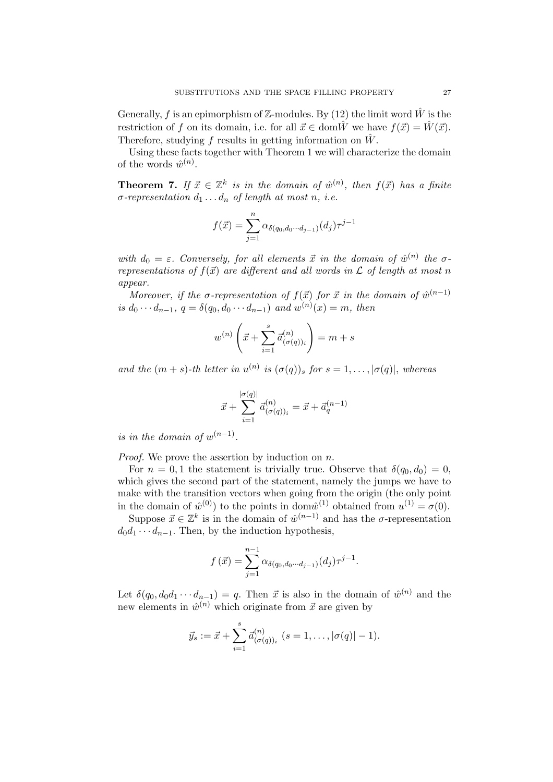Generally, f is an epimorphism of Z-modules. By (12) the limit word  $\hat{W}$  is the restriction of f on its domain, i.e. for all  $\vec{x} \in \text{dom}\hat{W}$  we have  $f(\vec{x}) = \hat{W}(\vec{x})$ . Therefore, studying f results in getting information on  $\hat{W}$ .

Using these facts together with Theorem 1 we will characterize the domain of the words  $\hat{w}^{(n)}$ .

**Theorem 7.** If  $\vec{x} \in \mathbb{Z}^k$  is in the domain of  $\hat{w}^{(n)}$ , then  $f(\vec{x})$  has a finite  $\sigma$ -representation  $d_1 \ldots d_n$  of length at most n, i.e.

$$
f(\vec{x}) = \sum_{j=1}^{n} \alpha_{\delta(q_0, d_0 \cdots d_{j-1})}(d_j) \tau^{j-1}
$$

with  $d_0 = \varepsilon$ . Conversely, for all elements  $\vec{x}$  in the domain of  $\hat{w}^{(n)}$  the  $\sigma$ representations of  $f(\vec{x})$  are different and all words in  $\mathcal L$  of length at most n appear.

Moreover, if the  $\sigma$ -representation of  $f(\vec{x})$  for  $\vec{x}$  in the domain of  $\hat{w}^{(n-1)}$ is  $d_0 \cdots d_{n-1}$ ,  $q = \delta(q_0, d_0 \cdots d_{n-1})$  and  $w^{(n)}(x) = m$ , then

$$
w^{(n)}\left(\vec{x} + \sum_{i=1}^s \vec{a}_{(\sigma(q))_i}^{(n)}\right) = m + s
$$

and the  $(m + s)$ -th letter in  $u^{(n)}$  is  $(\sigma(q))_s$  for  $s = 1, ..., |\sigma(q)|$ , whereas

$$
\vec{x} + \sum_{i=1}^{|\sigma(q)|} \vec{a}^{(n)}_{(\sigma(q))_i} = \vec{x} + \vec{a}^{(n-1)}_q
$$

is in the domain of  $w^{(n-1)}$ .

*Proof.* We prove the assertion by induction on  $n$ .

For  $n = 0, 1$  the statement is trivially true. Observe that  $\delta(q_0, d_0) = 0$ , which gives the second part of the statement, namely the jumps we have to make with the transition vectors when going from the origin (the only point in the domain of  $\hat{w}^{(0)}$  to the points in dom $\hat{w}^{(1)}$  obtained from  $u^{(1)} = \sigma(0)$ .

Suppose  $\vec{x} \in \mathbb{Z}^k$  is in the domain of  $\hat{w}^{(n-1)}$  and has the  $\sigma$ -representation  $d_0d_1 \cdots d_{n-1}$ . Then, by the induction hypothesis,

$$
f(\vec{x}) = \sum_{j=1}^{n-1} \alpha_{\delta(q_0, d_0 \cdots d_{j-1})}(d_j) \tau^{j-1}.
$$

Let  $\delta(q_0, d_0 d_1 \cdots d_{n-1}) = q$ . Then  $\vec{x}$  is also in the domain of  $\hat{w}^{(n)}$  and the new elements in  $\hat{w}^{(n)}$  which originate from  $\vec{x}$  are given by

$$
\vec{y}_s := \vec{x} + \sum_{i=1}^s \vec{a}_{(\sigma(q))_i}^{(n)} \quad (s = 1, \ldots, |\sigma(q)| - 1).
$$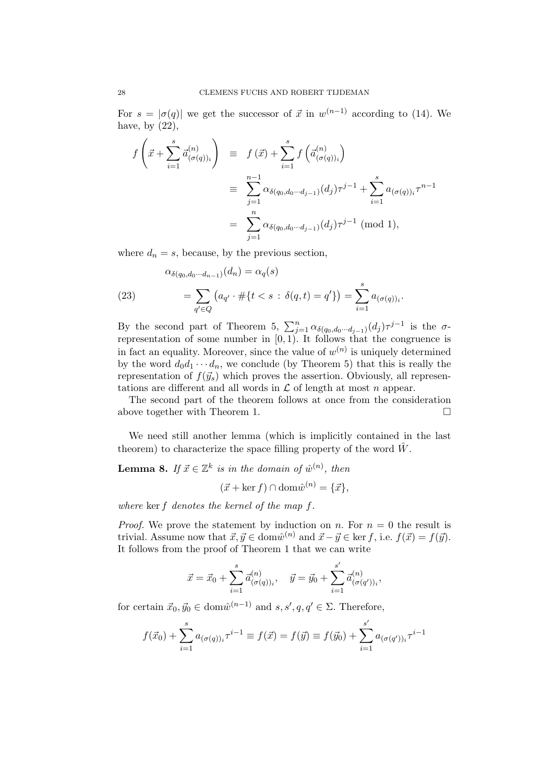For  $s = |\sigma(q)|$  we get the successor of  $\vec{x}$  in  $w^{(n-1)}$  according to (14). We have, by  $(22)$ ,

$$
f\left(\vec{x} + \sum_{i=1}^{s} \vec{a}_{(\sigma(q))i}^{(n)}\right) \equiv f(\vec{x}) + \sum_{i=1}^{s} f\left(\vec{a}_{(\sigma(q))i}^{(n)}\right)
$$
  

$$
\equiv \sum_{j=1}^{n-1} \alpha_{\delta(q_0, d_0 \cdots d_{j-1})}(d_j) \tau^{j-1} + \sum_{i=1}^{s} a_{(\sigma(q))i} \tau^{n-1}
$$
  

$$
= \sum_{j=1}^{n} \alpha_{\delta(q_0, d_0 \cdots d_{j-1})}(d_j) \tau^{j-1} \text{ (mod 1)},
$$

where  $d_n = s$ , because, by the previous section,

(23) 
$$
\alpha_{\delta(q_0, d_0 \cdots d_{n-1})}(d_n) = \alpha_q(s) \n= \sum_{q' \in Q} (a_{q'} \cdot \# \{ t < s : \delta(q, t) = q' \}) = \sum_{i=1}^s a_{(\sigma(q))_i}.
$$

By the second part of Theorem 5,  $\sum_{j=1}^{n} \alpha_{\delta(q_0,d_0\cdots d_{j-1})}(d_j) \tau^{j-1}$  is the  $\sigma$ representation of some number in  $[0, 1)$ . It follows that the congruence is in fact an equality. Moreover, since the value of  $w^{(n)}$  is uniquely determined by the word  $d_0d_1 \cdots d_n$ , we conclude (by Theorem 5) that this is really the representation of  $f(\vec{y}_s)$  which proves the assertion. Obviously, all representations are different and all words in  $\mathcal L$  of length at most n appear.

The second part of the theorem follows at once from the consideration above together with Theorem 1.  $\Box$ 

We need still another lemma (which is implicitly contained in the last theorem) to characterize the space filling property of the word  $\hat{W}$ .

**Lemma 8.** If  $\vec{x} \in \mathbb{Z}^k$  is in the domain of  $\hat{w}^{(n)}$ , then

 $(\vec{x} + \ker f) \cap \text{dom}\hat{w}^{(n)} = {\{\vec{x}\}},$ 

where ker f denotes the kernel of the map f.

*Proof.* We prove the statement by induction on n. For  $n = 0$  the result is trivial. Assume now that  $\vec{x}, \vec{y} \in \text{dom} \hat{w}^{(n)}$  and  $\vec{x} - \vec{y} \in \text{ker } f$ , i.e.  $f(\vec{x}) = f(\vec{y})$ . It follows from the proof of Theorem 1 that we can write

$$
\vec{x} = \vec{x}_0 + \sum_{i=1}^s \vec{a}_{(\sigma(q))_i}^{(n)}, \quad \vec{y} = \vec{y}_0 + \sum_{i=1}^{s'} \vec{a}_{(\sigma(q'))_i}^{(n)},
$$

for certain  $\vec{x}_0, \vec{y}_0 \in \text{dom} \hat{w}^{(n-1)}$  and  $s, s', q, q' \in \Sigma$ . Therefore,

$$
f(\vec{x}_0) + \sum_{i=1}^{s} a_{(\sigma(q))_i} \tau^{i-1} \equiv f(\vec{x}) = f(\vec{y}) \equiv f(\vec{y}_0) + \sum_{i=1}^{s'} a_{(\sigma(q'))_i} \tau^{i-1}
$$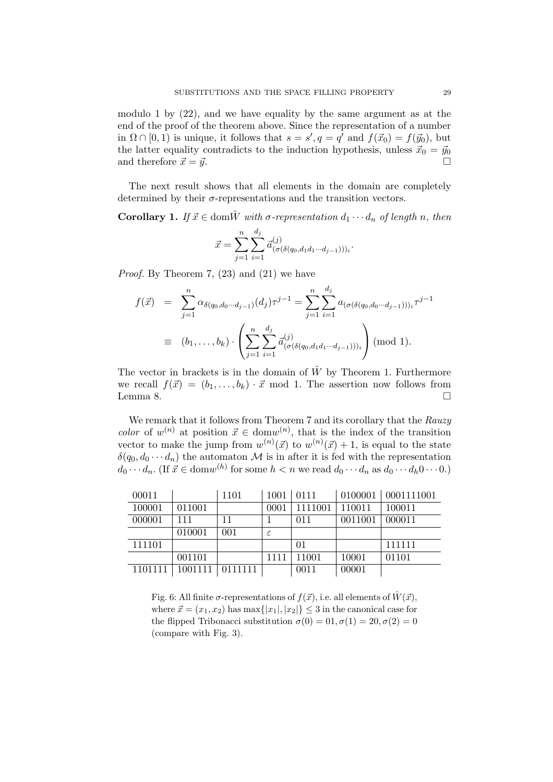modulo 1 by (22), and we have equality by the same argument as at the end of the proof of the theorem above. Since the representation of a number in  $\Omega \cap [0, 1)$  is unique, it follows that  $s = s'$ ,  $q = q'$  and  $f(\vec{x}_0) = f(\vec{y}_0)$ , but the latter equality contradicts to the induction hypothesis, unless  $\vec{x}_0 = \vec{y}_0$ and therefore  $\vec{x} = \vec{y}$ .

The next result shows that all elements in the domain are completely determined by their  $\sigma$ -representations and the transition vectors.

**Corollary 1.** If  $\vec{x} \in \text{dom}\hat{W}$  with  $\sigma$ -representation  $d_1 \cdots d_n$  of length n, then

$$
\vec{x} = \sum_{j=1}^{n} \sum_{i=1}^{d_j} \vec{a}_{(\sigma(\delta(q_0, d_1 d_1 \cdots d_{j-1})))_i}^{(j)}.
$$

Proof. By Theorem 7, (23) and (21) we have

$$
f(\vec{x}) = \sum_{j=1}^{n} \alpha_{\delta(q_0, d_0 \cdots d_{j-1})}(d_j) \tau^{j-1} = \sum_{j=1}^{n} \sum_{i=1}^{d_j} a_{(\sigma(\delta(q_0, d_0 \cdots d_{j-1})))_i} \tau^{j-1}
$$
  

$$
\equiv (b_1, \ldots, b_k) \cdot \left( \sum_{j=1}^{n} \sum_{i=1}^{d_j} \vec{a}_{(\sigma(\delta(q_0, d_1 d_1 \cdots d_{j-1})))_i}^{(j)} \right) \pmod{1}.
$$

The vector in brackets is in the domain of  $\hat{W}$  by Theorem 1. Furthermore we recall  $f(\vec{x}) = (b_1, \ldots, b_k) \cdot \vec{x} \mod 1$ . The assertion now follows from Lemma 8. Lemma 8.  $\Box$ 

We remark that it follows from Theorem 7 and its corollary that the Rauzy color of  $w^{(n)}$  at position  $\vec{x} \in \text{dom} w^{(n)}$ , that is the index of the transition vector to make the jump from  $w^{(n)}(\vec{x})$  to  $w^{(n)}(\vec{x})+1$ , is equal to the state  $\delta(q_0, d_0 \cdots d_n)$  the automaton M is in after it is fed with the representation  $d_0 \cdots d_n$ . (If  $\vec{x} \in \text{dom}w^{(h)}$  for some  $h < n$  we read  $d_0 \cdots d_n$  as  $d_0 \cdots d_h 0 \cdots 0$ .)

| 00011   |         | 1101    | 1001 | $-0111$ |         | 0100001   0001111001 |
|---------|---------|---------|------|---------|---------|----------------------|
| 100001  | 011001  |         | 0001 | 1111001 | 110011  | 100011               |
| 000001  | 111     | 11      |      | 011     | 0011001 | 000011               |
|         | 010001  | 001     | ε    |         |         |                      |
| 111101  |         |         |      | 01      |         | 111111               |
|         | 001101  |         | 1111 | 11001   | 10001   | 01101                |
| 1101111 | 1001111 | 0111111 |      | 0011    | 00001   |                      |

Fig. 6: All finite  $\sigma$ -representations of  $f(\vec{x})$ , i.e. all elements of  $\hat{W}(\vec{x})$ , where  $\vec{x} = (x_1, x_2)$  has max $\{|x_1|, |x_2|\} \leq 3$  in the canonical case for the flipped Tribonacci substitution  $\sigma(0) = 0.0, \sigma(1) = 20, \sigma(2) = 0$ (compare with Fig. 3).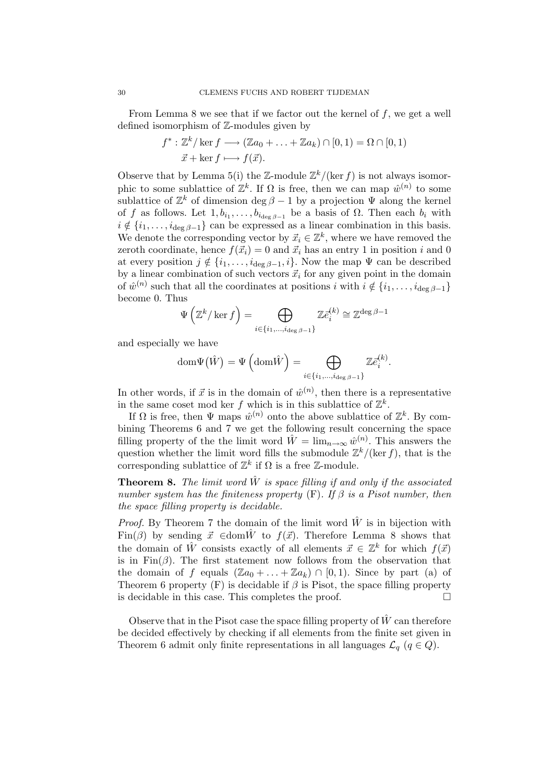From Lemma 8 we see that if we factor out the kernel of  $f$ , we get a well defined isomorphism of Z-modules given by

$$
f^*: \mathbb{Z}^k / \ker f \longrightarrow (\mathbb{Z}a_0 + \ldots + \mathbb{Z}a_k) \cap [0, 1) = \Omega \cap [0, 1)
$$
  

$$
\vec{x} + \ker f \longmapsto f(\vec{x}).
$$

Observe that by Lemma 5(i) the Z-module  $\mathbb{Z}^k/(\ker f)$  is not always isomorphic to some sublattice of  $\mathbb{Z}^k$ . If  $\Omega$  is free, then we can map  $\hat{w}^{(n)}$  to some sublattice of  $\mathbb{Z}^k$  of dimension deg  $\beta - 1$  by a projection  $\Psi$  along the kernel of f as follows. Let  $1, b_{i_1}, \ldots, b_{i_{\deg \beta-1}}$  be a basis of  $\Omega$ . Then each  $b_i$  with  $i \notin \{i_1, \ldots, i_{\text{deg }\beta-1}\}\$ can be expressed as a linear combination in this basis. We denote the corresponding vector by  $\vec{x}_i \in \mathbb{Z}^k$ , where we have removed the zeroth coordinate, hence  $f(\vec{x}_i) = 0$  and  $\vec{x}_i$  has an entry 1 in position i and 0 at every position  $j \notin \{i_1, \ldots, i_{\deg \beta-1}, i\}$ . Now the map  $\Psi$  can be described by a linear combination of such vectors  $\vec{x}_i$  for any given point in the domain of  $\hat{w}^{(n)}$  such that all the coordinates at positions i with  $i \notin \{i_1, \ldots, i_{\deg \beta - 1}\}\$ become 0. Thus

$$
\Psi\left(\mathbb{Z}^k/\ker f\right) = \bigoplus_{i \in \{i_1, \dots, i_{\deg \beta - 1}\}} \mathbb{Z} \bar{e}_i^{(k)} \cong \mathbb{Z}^{\deg \beta - 1}
$$

and especially we have

dom
$$
\Psi(\hat{W}) = \Psi \left(\text{dom}\hat{W}\right) = \bigoplus_{i \in \{i_1, \dots, i_{\deg \beta - 1}\}} \mathbb{Z} \bar{e}_i^{(k)}.
$$

In other words, if  $\vec{x}$  is in the domain of  $\hat{w}^{(n)}$ , then there is a representative in the same coset mod ker f which is in this sublattice of  $\mathbb{Z}^k$ .

If  $\Omega$  is free, then  $\Psi$  maps  $\hat{w}^{(n)}$  onto the above sublattice of  $\mathbb{Z}^k$ . By combining Theorems 6 and 7 we get the following result concerning the space filling property of the the limit word  $\hat{W} = \lim_{n \to \infty} \hat{w}^{(n)}$ . This answers the question whether the limit word fills the submodule  $\mathbb{Z}^k/(\ker f)$ , that is the corresponding sublattice of  $\mathbb{Z}^k$  if  $\Omega$  is a free  $\mathbb{Z}$ -module.

**Theorem 8.** The limit word  $\hat{W}$  is space filling if and only if the associated number system has the finiteness property  $(F)$ . If  $\beta$  is a Pisot number, then the space filling property is decidable.

*Proof.* By Theorem 7 the domain of the limit word  $\hat{W}$  is in bijection with Fin( $\beta$ ) by sending  $\vec{x} \in \text{dom}\hat{W}$  to  $f(\vec{x})$ . Therefore Lemma 8 shows that the domain of  $\hat{W}$  consists exactly of all elements  $\vec{x} \in \mathbb{Z}^k$  for which  $f(\vec{x})$ is in  $\text{Fin}(\beta)$ . The first statement now follows from the observation that the domain of f equals  $(\mathbb{Z}a_0 + ... + \mathbb{Z}a_k) \cap [0,1)$ . Since by part (a) of Theorem 6 property  $(F)$  is decidable if  $\beta$  is Pisot, the space filling property is decidable in this case. This completes the proof.

Observe that in the Pisot case the space filling property of  $\hat{W}$  can therefore be decided effectively by checking if all elements from the finite set given in Theorem 6 admit only finite representations in all languages  $\mathcal{L}_q$  ( $q \in Q$ ).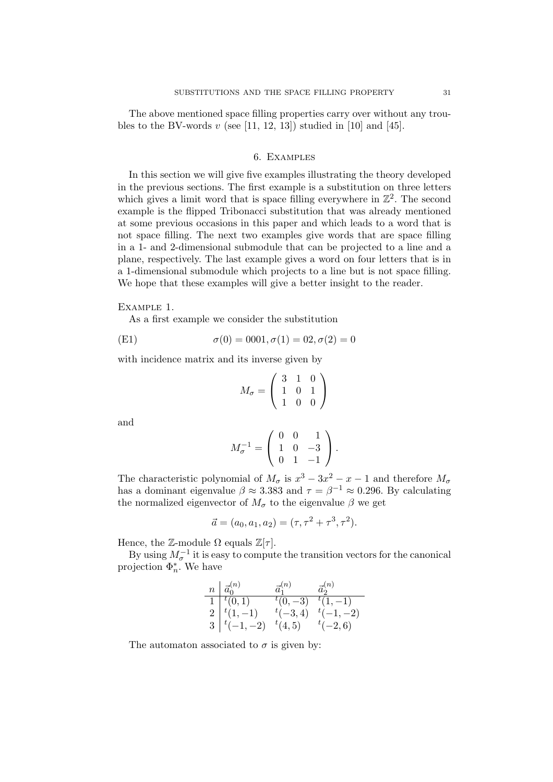The above mentioned space filling properties carry over without any troubles to the BV-words  $v$  (see [11, 12, 13]) studied in [10] and [45].

# 6. Examples

In this section we will give five examples illustrating the theory developed in the previous sections. The first example is a substitution on three letters which gives a limit word that is space filling everywhere in  $\mathbb{Z}^2$ . The second example is the flipped Tribonacci substitution that was already mentioned at some previous occasions in this paper and which leads to a word that is not space filling. The next two examples give words that are space filling in a 1- and 2-dimensional submodule that can be projected to a line and a plane, respectively. The last example gives a word on four letters that is in a 1-dimensional submodule which projects to a line but is not space filling. We hope that these examples will give a better insight to the reader.

#### Example 1.

As a first example we consider the substitution

(E1) 
$$
\sigma(0) = 0001, \sigma(1) = 02, \sigma(2) = 0
$$

with incidence matrix and its inverse given by

$$
M_{\sigma} = \left(\begin{array}{rrr} 3 & 1 & 0 \\ 1 & 0 & 1 \\ 1 & 0 & 0 \end{array}\right)
$$

and

$$
M_{\sigma}^{-1} = \left(\begin{array}{rrr} 0 & 0 & 1 \\ 1 & 0 & -3 \\ 0 & 1 & -1 \end{array}\right).
$$

The characteristic polynomial of  $M_{\sigma}$  is  $x^3 - 3x^2 - x - 1$  and therefore  $M_{\sigma}$ has a dominant eigenvalue  $\beta \approx 3.383$  and  $\tau = \beta^{-1} \approx 0.296$ . By calculating the normalized eigenvector of  $M_{\sigma}$  to the eigenvalue  $\beta$  we get

$$
\vec{a} = (a_0, a_1, a_2) = (\tau, \tau^2 + \tau^3, \tau^2).
$$

Hence, the Z-module  $\Omega$  equals  $\mathbb{Z}[\tau]$ .

By using  $M_{\sigma}^{-1}$  it is easy to compute the transition vectors for the canonical projection  $\Phi_n^*$ . We have

$$
\begin{array}{c|cc}\nn & \vec{a}_0^{(n)} & \vec{a}_1^{(n)} & \vec{a}_2^{(n)} \\
\hline\n1 & ^t(0,1) & ^t(0,-3) & ^t(1,-1) \\
2 & ^t(1,-1) & ^t(-3,4) & ^t(-1,-2) \\
3 & ^t(-1,-2) & ^t(4,5) & ^t(-2,6)\n\end{array}
$$

The automaton associated to  $\sigma$  is given by: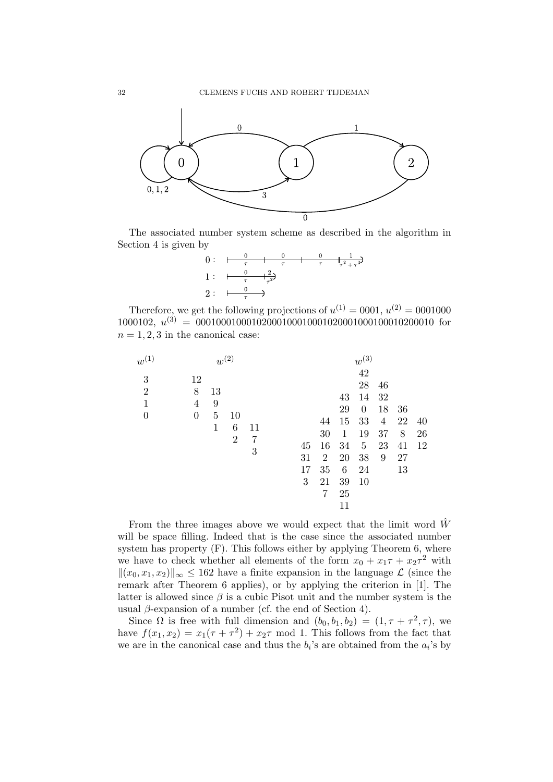

The associated number system scheme as described in the algorithm in Section 4 is given by



Therefore, we get the following projections of  $u^{(1)} = 0001$ ,  $u^{(2)} = 0001000$ 1000102,  $u^{(3)} = 0001000100010200010001000102000100010200010$  for  $n = 1, 2, 3$  in the canonical case:

| $w^{(1)}$                                             |                                | $w^{(2)}$                      |                           |              |                     |                                                   |                                                                   | $w^{(3)}$                                                                          |                                                   |                                 |                |
|-------------------------------------------------------|--------------------------------|--------------------------------|---------------------------|--------------|---------------------|---------------------------------------------------|-------------------------------------------------------------------|------------------------------------------------------------------------------------|---------------------------------------------------|---------------------------------|----------------|
| 3<br>$\overline{2}$<br>$\mathbf{1}$<br>$\overline{0}$ | 12<br>8<br>4<br>$\overline{0}$ | 13<br>9<br>$\overline{5}$<br>1 | 10<br>6<br>$\overline{2}$ | 11<br>7<br>3 | 45<br>31<br>17<br>3 | 44<br>30<br>16<br>$\overline{2}$<br>35<br>21<br>7 | 43<br>29<br>15<br>$\mathbf{1}$<br>34<br>20<br>6<br>39<br>25<br>11 | 42<br>28<br>14<br>$\boldsymbol{0}$<br>33<br>19<br>$\overline{5}$<br>38<br>24<br>10 | 46<br>32<br>18<br>$\overline{4}$<br>37<br>23<br>9 | 36<br>22<br>8<br>41<br>27<br>13 | 40<br>26<br>12 |

From the three images above we would expect that the limit word  $\hat{W}$ will be space filling. Indeed that is the case since the associated number system has property (F). This follows either by applying Theorem 6, where we have to check whether all elements of the form  $x_0 + x_1\tau + x_2\tau^2$  with  $\|(x_0, x_1, x_2)\|_{\infty} \leq 162$  have a finite expansion in the language  $\mathcal L$  (since the remark after Theorem 6 applies), or by applying the criterion in [1]. The latter is allowed since  $\beta$  is a cubic Pisot unit and the number system is the usual  $\beta$ -expansion of a number (cf. the end of Section 4).

Since  $\Omega$  is free with full dimension and  $(b_0, b_1, b_2) = (1, \tau + \tau^2, \tau)$ , we have  $f(x_1, x_2) = x_1(\tau + \tau^2) + x_2\tau$  mod 1. This follows from the fact that we are in the canonical case and thus the  $b_i$ 's are obtained from the  $a_i$ 's by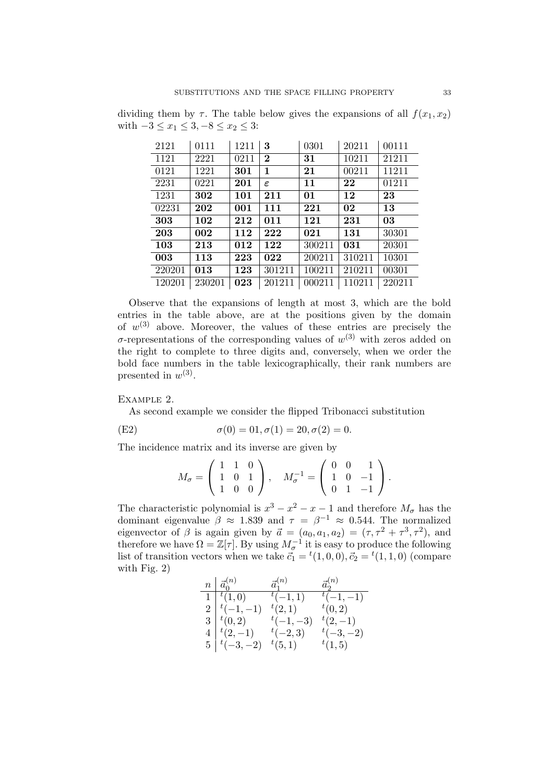dividing them by  $\tau$ . The table below gives the expansions of all  $f(x_1, x_2)$ with  $-3 \le x_1 \le 3, -8 \le x_2 \le 3$ :

| 2121   | 0111   | 1211 | 3             | 0301   | 20211  | 00111  |
|--------|--------|------|---------------|--------|--------|--------|
| 1121   | 2221   | 0211 | $\bf{2}$      | 31     | 10211  | 21211  |
| 0121   | 1221   | 301  | 1             | 21     | 00211  | 11211  |
| 2231   | 0221   | 201  | $\varepsilon$ | 11     | 22     | 01211  |
| 1231   | 302    | 101  | 211           | 01     | 12     | 23     |
| 02231  | 202    | 001  | 111           | 221    | 02     | 13     |
| 303    | 102    | 212  | 011           | 121    | 231    | 03     |
| 203    | 002    | 112  | 222           | 021    | 131    | 30301  |
| 103    | 213    | 012  | 122           | 300211 | 031    | 20301  |
| 003    | 113    | 223  | 022           | 200211 | 310211 | 10301  |
| 220201 | 013    | 123  | 301211        | 100211 | 210211 | 00301  |
| 120201 | 230201 | 023  | 201211        | 000211 | 110211 | 220211 |

Observe that the expansions of length at most 3, which are the bold entries in the table above, are at the positions given by the domain of  $w^{(3)}$  above. Moreover, the values of these entries are precisely the  $\sigma$ -representations of the corresponding values of  $w^{(3)}$  with zeros added on the right to complete to three digits and, conversely, when we order the bold face numbers in the table lexicographically, their rank numbers are presented in  $w^{(3)}$ .

### Example 2.

As second example we consider the flipped Tribonacci substitution

(E2) 
$$
\sigma(0) = 01, \sigma(1) = 20, \sigma(2) = 0.
$$

The incidence matrix and its inverse are given by

$$
M_{\sigma} = \left( \begin{array}{rrr} 1 & 1 & 0 \\ 1 & 0 & 1 \\ 1 & 0 & 0 \end{array} \right), \quad M_{\sigma}^{-1} = \left( \begin{array}{rrr} 0 & 0 & 1 \\ 1 & 0 & -1 \\ 0 & 1 & -1 \end{array} \right).
$$

The characteristic polynomial is  $x^3 - x^2 - x - 1$  and therefore  $M_{\sigma}$  has the dominant eigenvalue  $\beta \approx 1.839$  and  $\tau = \beta^{-1} \approx 0.544$ . The normalized eigenvector of  $\beta$  is again given by  $\vec{a} = (a_0, a_1, a_2) = (\tau, \tau^2 + \tau^3, \tau^2)$ , and therefore we have  $\Omega = \mathbb{Z}[\tau]$ . By using  $M_{\sigma}^{-1}$  it is easy to produce the following list of transition vectors when we take  $\vec{c}_1 = {}^t(1,0,0), \vec{c}_2 = {}^t(1,1,0)$  (compare with Fig. 2)

| $n \mid \vec{a}_0^{(n)}$           | $\vec{a}_1^{(n)}$ | $\vec{a}_{2}^{(n)}$ |
|------------------------------------|-------------------|---------------------|
| $\overline{1}$ $\overline{t}(1,0)$ | $^{t}(-1,1)$      | $^{-t}(-1,-1)$      |
| $2 \mid t(-1,-1)$                  | $^{t}(2,1)$       | $^{t}(0,2)$         |
| $3 \mid {}^t(0,2)$                 | $t(-1,-3)$        | $^{t}(2,-1)$        |
| $4  ^{t}(2,-1)$                    | $t(-2,3)$         | $t(-3,-2)$          |
| $5 \mid t(-3,-2)$                  | $^{t}(5,1)$       | t(1,5)              |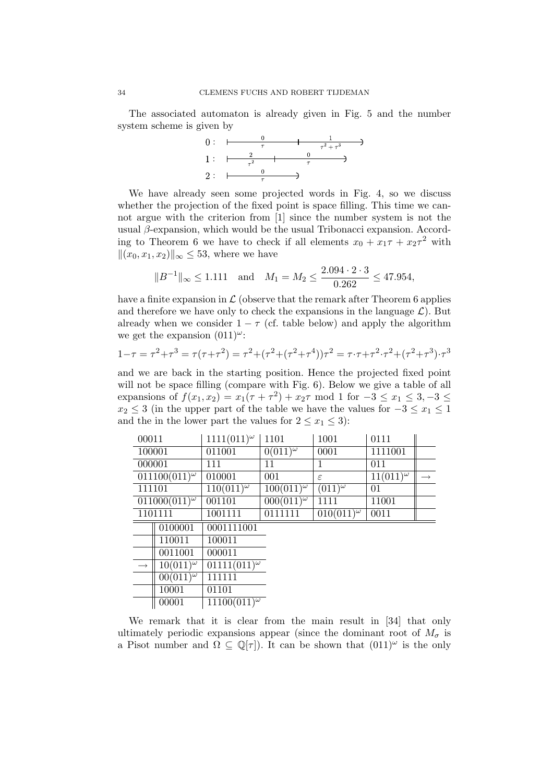The associated automaton is already given in Fig. 5 and the number



We have already seen some projected words in Fig. 4, so we discuss whether the projection of the fixed point is space filling. This time we cannot argue with the criterion from [1] since the number system is not the usual  $\beta$ -expansion, which would be the usual Tribonacci expansion. According to Theorem 6 we have to check if all elements  $x_0 + x_1\tau + x_2\tau^2$  with  $||(x_0, x_1, x_2)||_{\infty} \leq 53$ , where we have

$$
||B^{-1}||_{\infty} \le 1.111
$$
 and  $M_1 = M_2 \le \frac{2.094 \cdot 2 \cdot 3}{0.262} \le 47.954$ ,

have a finite expansion in  $\mathcal L$  (observe that the remark after Theorem 6 applies and therefore we have only to check the expansions in the language  $\mathcal{L}$ ). But already when we consider  $1 - \tau$  (cf. table below) and apply the algorithm we get the expansion  $(011)^\omega$ :

$$
1 - \tau = \tau^2 + \tau^3 = \tau(\tau + \tau^2) = \tau^2 + (\tau^2 + (\tau^2 + \tau^4))\tau^2 = \tau \cdot \tau + \tau^2 \cdot \tau^2 + (\tau^2 + \tau^3) \cdot \tau^3
$$

and we are back in the starting position. Hence the projected fixed point will not be space filling (compare with Fig. 6). Below we give a table of all expansions of  $f(x_1, x_2) = x_1(\tau + \tau^2) + x_2\tau \mod 1$  for  $-3 \le x_1 \le 3, -3 \le x_2$  $x_2 \leq 3$  (in the upper part of the table we have the values for  $-3 \leq x_1 \leq 1$ and the in the lower part the values for  $2 \le x_1 \le 3$ :

| 00011             |                             | $1111(011)^{\omega}$              | 1101                | 1001                | 0111                          |               |
|-------------------|-----------------------------|-----------------------------------|---------------------|---------------------|-------------------------------|---------------|
| 100001            |                             | 011001                            | $0(011)^\omega$     | 0001                | 1111001                       |               |
| 000001            |                             | 111                               | 11                  | 1                   | 011                           |               |
|                   | $011100(011)^\omega$        | 010001                            | 001                 | $\epsilon$          | $11(011)^{\overline{\omega}}$ | $\rightarrow$ |
| 111101            |                             | $\frac{110(011)^{\omega}}{}$      | $100(011)^{\omega}$ | $(011)^{\omega}$    | 01                            |               |
|                   | $011000(011)^{\omega}$      | 001101                            | $000(011)^{\omega}$ | 1111                | 11001                         |               |
|                   | 1101111                     | 1001111                           | 0111111             | $010(011)^{\omega}$ | 0011                          |               |
|                   | 0100001                     | 0001111001                        |                     |                     |                               |               |
|                   | 110011                      | 100011                            |                     |                     |                               |               |
|                   | 0011001                     | 000011                            |                     |                     |                               |               |
| $\longrightarrow$ | $\frac{10(011)^{\omega}}{}$ | $01111 \overline{(011)^{\omega}}$ |                     |                     |                               |               |
|                   | $00(011)^{\omega}$          | 111111                            |                     |                     |                               |               |
|                   | 10001                       | 01101                             |                     |                     |                               |               |
|                   | 00001                       | $11100(011)^{\omega}$             |                     |                     |                               |               |

We remark that it is clear from the main result in [34] that only ultimately periodic expansions appear (since the dominant root of  $M_{\sigma}$  is a Pisot number and  $\Omega \subseteq \mathbb{Q}[\tau]$ . It can be shown that  $(011)^\omega$  is the only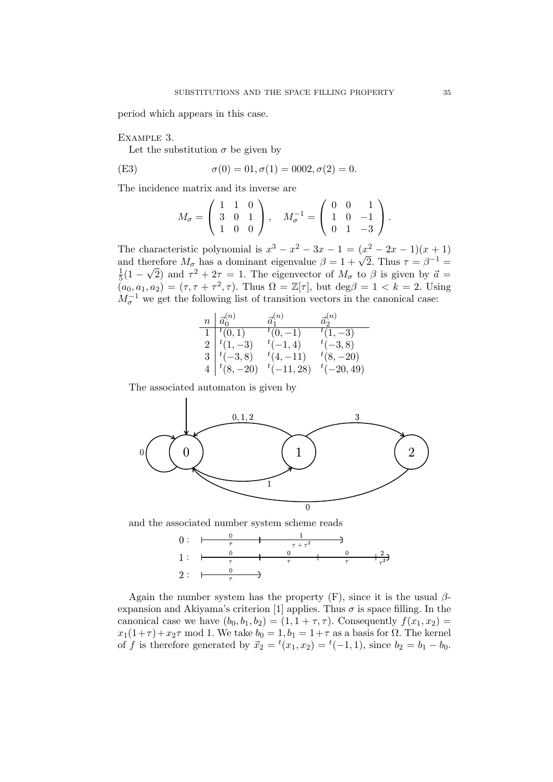period which appears in this case.

Example 3.

Let the substitution  $\sigma$  be given by

(E3) 
$$
\sigma(0) = 01, \sigma(1) = 0002, \sigma(2) = 0.
$$

The incidence matrix and its inverse are

$$
M_{\sigma} = \begin{pmatrix} 1 & 1 & 0 \\ 3 & 0 & 1 \\ 1 & 0 & 0 \end{pmatrix}, \quad M_{\sigma}^{-1} = \begin{pmatrix} 0 & 0 & 1 \\ 1 & 0 & -1 \\ 0 & 1 & -3 \end{pmatrix}.
$$

The characteristic polynomial is  $x^3 - x^2 - 3x - 1 = (x^2 - 2x - 1)(x + 1)$ and therefore  $M_{\sigma}$  has a dominant eigenvalue  $\beta = 1 + \sqrt{2}$ . Thus  $\tau = \beta^{-1} = \frac{1}{1 - \sqrt{2}}$  and  $\tau^2 + 2\tau = 1$ . The eigenvector of M, to  $\beta$  is given by  $\vec{\sigma} =$  $\frac{1}{5}(1-\sqrt{2})$  and  $\tau^2+2\tau=1$ . The eigenvector of  $M_{\sigma}$  to  $\beta$  is given by  $\vec{a} =$  $(a_0, a_1, a_2) = (\tau, \tau + \tau^2, \tau)$ . Thus  $\Omega = \mathbb{Z}[\tau]$ , but  $\deg \beta = 1 < k = 2$ . Using  $M_{\sigma}^{-1}$  we get the following list of transition vectors in the canonical case:

| $n \mid \vec{a}^{(n)}_0$ | $\vec{a}_1^{(n)}$ | $\vec{a}_2^{(n)}$ |
|--------------------------|-------------------|-------------------|
| $1  ^{t} (0,1)$          | $t(0,-1)$         | $t(1,-3)$         |
| $2 \mid t(1, -3)$        | $^{t}(-1,4)$      | $^{t}(-3,8)$      |
| $3 \mid t(-3,8)$         | $^{t}(4,-11)$     | $t(8,-20)$        |
| $4  ^{t}(8, -20)$        | $t(-11, 28)$      | $t(-20, 49)$      |

The associated automaton is given by



and the associated number system scheme reads



Again the number system has the property  $(F)$ , since it is the usual  $\beta$ expansion and Akiyama's criterion [1] applies. Thus  $\sigma$  is space filling. In the canonical case we have  $(b_0, b_1, b_2) = (1, 1 + \tau, \tau)$ . Consequently  $f(x_1, x_2) =$  $x_1(1+\tau)+x_2\tau$  mod 1. We take  $b_0 = 1, b_1 = 1+\tau$  as a basis for  $\Omega$ . The kernel of f is therefore generated by  $\vec{x}_2 = {}^t(x_1, x_2) = {}^t(-1, 1)$ , since  $b_2 = b_1 - b_0$ .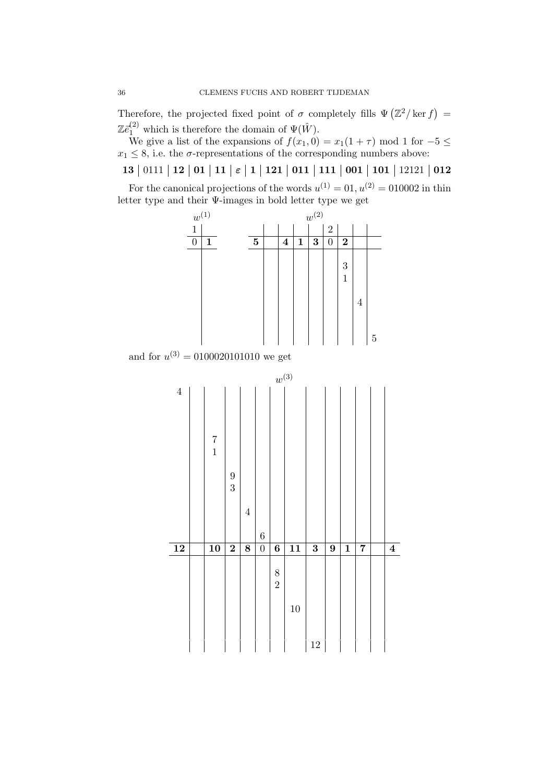Therefore, the projected fixed point of  $\sigma$  completely fills  $\Psi(\mathbb{Z}^2/\ker f) =$  $\mathbb{Z}\bar{e}^{(2)}_1$  which is therefore the domain of  $\Psi(\hat{W})$ .

We give a list of the expansions of  $f(x_1, 0) = x_1(1 + \tau) \text{ mod } 1$  for  $-5 \le$  $x_1 \leq 8$ , i.e. the  $\sigma$ -representations of the corresponding numbers above:

13 | 0111 | 12 | 01 | 11 |  $\varepsilon$  | 1 | 121 | 011 | 111 | 001 | 101 | 12121 | 012 For the canonical projections of the words  $u^{(1)} = 01, u^{(2)} = 010002$  in thin letter type and their Ψ-images in bold letter type we get



and for  $u^{(3)} = 0100020101010$  we get

|                 |                                       |                                       |                |                | $w^{(3)}$                             |                 |                         |                |                         |                |                |
|-----------------|---------------------------------------|---------------------------------------|----------------|----------------|---------------------------------------|-----------------|-------------------------|----------------|-------------------------|----------------|----------------|
| $\,4\,$         | $\begin{array}{c} 7 \\ 1 \end{array}$ | $\begin{array}{c} 9 \\ 3 \end{array}$ | $\overline{4}$ | $\overline{6}$ |                                       |                 |                         |                |                         |                |                |
| $\overline{12}$ | $\overline{10}$                       | $\overline{2}$                        | $\overline{8}$ | $\overline{0}$ | $\overline{\bf{6}}$                   | $\overline{11}$ | $\overline{\mathbf{3}}$ | $\overline{9}$ | $\overline{\mathbf{1}}$ | $\overline{7}$ | $\overline{4}$ |
|                 |                                       |                                       |                |                | $\begin{array}{c} 8 \\ 2 \end{array}$ | 10              | 12                      |                |                         |                |                |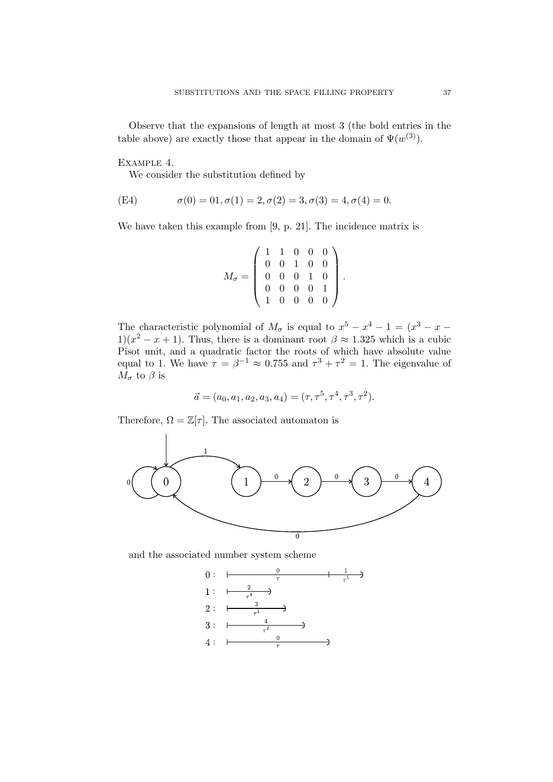Observe that the expansions of length at most 3 (the bold entries in the table above) are exactly those that appear in the domain of  $\Psi(w^{(3)})$ .

Example 4.

We consider the substitution defined by

(E4) 
$$
\sigma(0) = 01, \sigma(1) = 2, \sigma(2) = 3, \sigma(3) = 4, \sigma(4) = 0.
$$

We have taken this example from [9, p. 21]. The incidence matrix is

$$
M_{\sigma} = \left(\begin{array}{cccc} 1 & 1 & 0 & 0 & 0 \\ 0 & 0 & 1 & 0 & 0 \\ 0 & 0 & 0 & 1 & 0 \\ 0 & 0 & 0 & 0 & 1 \\ 1 & 0 & 0 & 0 & 0 \end{array}\right).
$$

The characteristic polynomial of  $M_{\sigma}$  is equal to  $x^5 - x^4 - 1 = (x^3 - x -$ 1)( $x^2 - x + 1$ ). Thus, there is a dominant root  $\beta \approx 1.325$  which is a cubic Pisot unit, and a quadratic factor the roots of which have absolute value equal to 1. We have  $\tau = \beta^{-1} \approx 0.755$  and  $\tau^3 + \tau^2 = 1$ . The eigenvalue of  $M_{\sigma}$  to  $\beta$  is

$$
\vec{a} = (a_0, a_1, a_2, a_3, a_4) = (\tau, \tau^5, \tau^4, \tau^3, \tau^2).
$$

Therefore,  $\Omega = \mathbb{Z}[\tau]$ . The associated automaton is



and the associated number system scheme

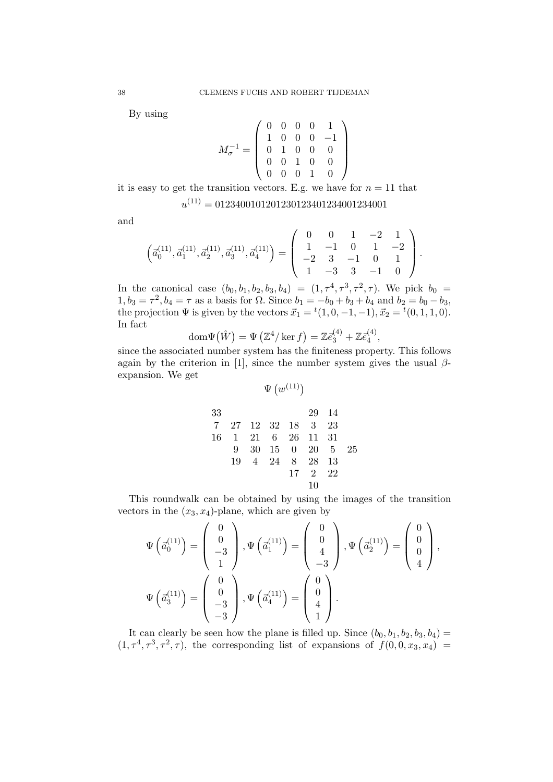By using

$$
M_\sigma^{-1}=\left(\begin{array}{cccc} 0 & 0 & 0 & 0 & 1 \\ 1 & 0 & 0 & 0 & -1 \\ 0 & 1 & 0 & 0 & 0 \\ 0 & 0 & 1 & 0 & 0 \\ 0 & 0 & 0 & 1 & 0 \end{array}\right)
$$

it is easy to get the transition vectors. E.g. we have for  $n = 11$  that

$$
u^{(11)} = 0123400101201230123401234001234001
$$

and

$$
\left(\vec{a}_0^{(11)}, \vec{a}_1^{(11)}, \vec{a}_2^{(11)}, \vec{a}_3^{(11)}, \vec{a}_4^{(11)}\right) = \left(\begin{array}{cccc} 0 & 0 & 1 & -2 & 1 \\ 1 & -1 & 0 & 1 & -2 \\ -2 & 3 & -1 & 0 & 1 \\ 1 & -3 & 3 & -1 & 0 \end{array}\right).
$$

In the canonical case  $(b_0, b_1, b_2, b_3, b_4) = (1, \tau^4, \tau^3, \tau^2, \tau)$ . We pick  $b_0 =$  $1, b_3 = \tau^2, b_4 = \tau$  as a basis for  $\Omega$ . Since  $b_1 = -b_0 + b_3 + b_4$  and  $b_2 = b_0 - b_3$ , the projection  $\Psi$  is given by the vectors  $\vec{x}_1 = {}^t(1, 0, -1, -1), \vec{x}_2 = {}^t(0, 1, 1, 0).$ In fact

$$
\operatorname{dom}\Psi(\hat{W}) = \Psi\left(\mathbb{Z}^4/\ker f\right) = \mathbb{Z}\bar{e}_3^{(4)} + \mathbb{Z}\bar{e}_4^{(4)},
$$

since the associated number system has the finiteness property. This follows again by the criterion in [1], since the number system gives the usual  $\beta$ expansion. We get

$$
\Psi\left(w^{(11)}\right)
$$

33 29 14 7 27 12 32 18 3 23 16 1 21 6 26 11 31 9 30 15 0 20 5 25 19 4 24 8 28 13 17 2 22 10

This roundwalk can be obtained by using the images of the transition vectors in the  $(x_3, x_4)$ -plane, which are given by

$$
\Psi\left(\vec{a}_0^{(11)}\right) = \begin{pmatrix} 0 \\ 0 \\ -3 \\ 1 \end{pmatrix}, \Psi\left(\vec{a}_1^{(11)}\right) = \begin{pmatrix} 0 \\ 0 \\ 4 \\ -3 \end{pmatrix}, \Psi\left(\vec{a}_2^{(11)}\right) = \begin{pmatrix} 0 \\ 0 \\ 4 \\ 4 \end{pmatrix},
$$

$$
\Psi\left(\vec{a}_3^{(11)}\right) = \begin{pmatrix} 0 \\ 0 \\ -3 \\ -3 \end{pmatrix}, \Psi\left(\vec{a}_4^{(11)}\right) = \begin{pmatrix} 0 \\ 0 \\ 4 \\ 1 \end{pmatrix}.
$$

It can clearly be seen how the plane is filled up. Since  $(b_0, b_1, b_2, b_3, b_4)$  =  $(1, \tau^4, \tau^3, \tau^2, \tau)$ , the corresponding list of expansions of  $f(0, 0, x_3, x_4)$  =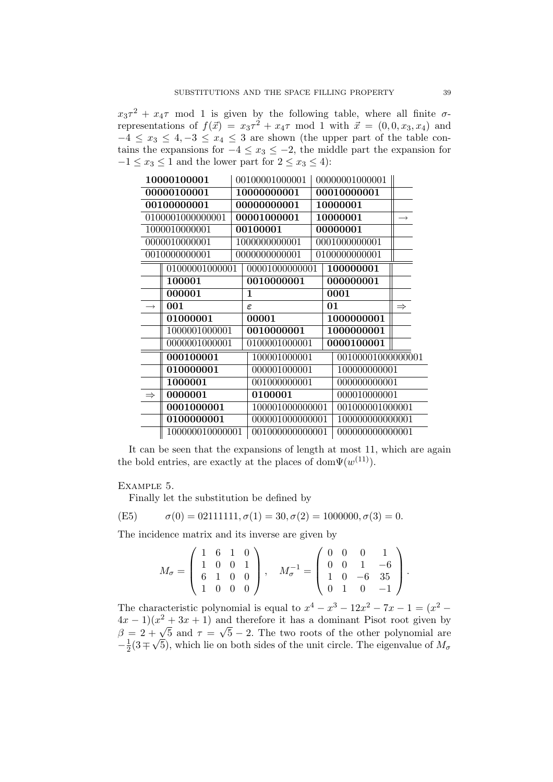$x_3\tau^2 + x_4\tau$  mod 1 is given by the following table, where all finite  $\sigma$ representations of  $f(\vec{x}) = x_3\tau^2 + x_4\tau \mod 1$  with  $\vec{x} = (0, 0, x_3, x_4)$  and  $-4 \leq x_3 \leq 4, -3 \leq x_4 \leq 3$  are shown (the upper part of the table contains the expansions for  $-4 \le x_3 \le -2$ , the middle part the expansion for  $-1 \le x_3 \le 1$  and the lower part for  $2 \le x_3 \le 4$ :

| 10000100001   |                  | 00100001000001  | 00000001000001  |                   |               |
|---------------|------------------|-----------------|-----------------|-------------------|---------------|
| 00000100001   |                  | 10000000001     | 00010000001     |                   |               |
|               | 00100000001      |                 | 00000000001     | 10000001          |               |
|               | 0100001000000001 |                 | 00001000001     | 10000001          | $\rightarrow$ |
|               | 1000010000001    |                 | 00100001        | 00000001          |               |
|               | 0000010000001    |                 | 1000000000001   | 0001000000001     |               |
|               | 0010000000001    |                 | 0000000000001   | 0100000000001     |               |
|               | 01000001000001   |                 | 00001000000001  | 100000001         |               |
|               | 100001           |                 | 0010000001      | 000000001         |               |
|               | 000001           |                 | 1               | 0001              |               |
|               | 001              |                 | $\epsilon$      | 01                | $\Rightarrow$ |
|               | 01000001         |                 | 00001           | 1000000001        |               |
|               | 1000001000001    |                 | 0010000001      | 1000000001        |               |
|               | 0000001000001    |                 | 0100001000001   | 0000100001        |               |
|               | 000100001        |                 | 100001000001    | 00100001000000001 |               |
|               | 010000001        | 000001000001    | 100000000001    |                   |               |
|               | 1000001          | 001000000001    | 000000000001    |                   |               |
| $\Rightarrow$ | 0000001          |                 | 0100001         | 000010000001      |               |
| 0001000001    |                  | 100001000000001 | 001000001000001 |                   |               |
|               | 0100000001       |                 | 000001000000001 | 100000000000001   |               |
|               | 100000010000001  |                 | 001000000000001 | 000000000000001   |               |

It can be seen that the expansions of length at most 11, which are again the bold entries, are exactly at the places of dom $\Psi(w^{(11)})$ .

### Example 5.

Finally let the substitution be defined by

(E5) 
$$
\sigma(0) = 02111111, \sigma(1) = 30, \sigma(2) = 1000000, \sigma(3) = 0.
$$

The incidence matrix and its inverse are given by

$$
M_{\sigma} = \left(\begin{array}{rrr} 1 & 6 & 1 & 0 \\ 1 & 0 & 0 & 1 \\ 6 & 1 & 0 & 0 \\ 1 & 0 & 0 & 0 \end{array}\right), \quad M_{\sigma}^{-1} = \left(\begin{array}{rrr} 0 & 0 & 0 & 1 \\ 0 & 0 & 1 & -6 \\ 1 & 0 & -6 & 35 \\ 0 & 1 & 0 & -1 \end{array}\right).
$$

The characteristic polynomial is equal to  $x^4 - x^3 - 12x^2 - 7x - 1 = (x^2 (4x-1)(x^2+3x+1)$  and therefore it has a dominant Pisot root given by  $\beta = 2 + \sqrt{5}$  and  $\tau = \sqrt{5} - 2$ . The two roots of the other polynomial are  $-\frac{1}{2}$  $\frac{1}{2}(3\mp\sqrt{5})$ , which lie on both sides of the unit circle. The eigenvalue of  $M_{\sigma}$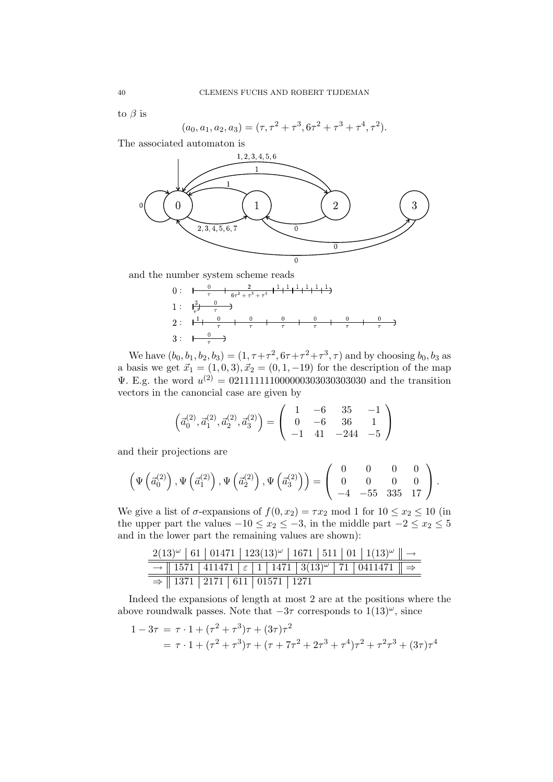to  $\beta$  is

$$
(a_0, a_1, a_2, a_3) = (\tau, \tau^2 + \tau^3, 6\tau^2 + \tau^3 + \tau^4, \tau^2).
$$

The associated automaton is



and the number system scheme reads

0: 
$$
\frac{0}{\tau} + \frac{2}{6\tau^2 + \tau^3 + \tau^4} + \frac{1}{1} + \frac{1}{1} + \frac{1}{1} + \frac{1}{1} + \frac{1}{1} + \frac{1}{1} + \frac{1}{1} + \frac{1}{1} + \frac{1}{1} + \frac{1}{1} + \frac{1}{1} + \frac{1}{1} + \frac{1}{1} + \frac{1}{1} + \frac{1}{1} + \frac{1}{1} + \frac{1}{1} + \frac{1}{1} + \frac{1}{1} + \frac{1}{1} + \frac{1}{1} + \frac{1}{1} + \frac{1}{1} + \frac{1}{1} + \frac{1}{1} + \frac{1}{1} + \frac{1}{1} + \frac{1}{1} + \frac{1}{1} + \frac{1}{1} + \frac{1}{1} + \frac{1}{1} + \frac{1}{1} + \frac{1}{1} + \frac{1}{1} + \frac{1}{1} + \frac{1}{1} + \frac{1}{1} + \frac{1}{1} + \frac{1}{1} + \frac{1}{1} + \frac{1}{1} + \frac{1}{1} + \frac{1}{1} + \frac{1}{1} + \frac{1}{1} + \frac{1}{1} + \frac{1}{1} + \frac{1}{1} + \frac{1}{1} + \frac{1}{1} + \frac{1}{1} + \frac{1}{1} + \frac{1}{1} + \frac{1}{1} + \frac{1}{1} + \frac{1}{1} + \frac{1}{1} + \frac{1}{1} + \frac{1}{1} + \frac{1}{1} + \frac{1}{1} + \frac{1}{1} + \frac{1}{1} + \frac{1}{1} + \frac{1}{1} + \frac{1}{1} + \frac{1}{1} + \frac{1}{1} + \frac{1}{1} + \frac{1}{1} + \frac{1}{1} + \frac{1}{1} + \frac{1}{1} + \frac{1}{1} + \frac{1}{1} + \frac{1}{1} + \frac{1}{1} + \frac{1}{1} + \frac{1}{1} + \frac{1}{1} + \frac{1}{1} + \frac{1}{1} + \frac{1}{1} + \frac{1}{1} + \frac{1}{1} + \frac{1}{1} + \frac{1}{1} + \frac{1}{1} + \frac{1}{1} + \frac{1}{1}
$$

We have  $(b_0, b_1, b_2, b_3) = (1, \tau + \tau^2, 6\tau + \tau^2 + \tau^3, \tau)$  and by choosing  $b_0, b_3$  as a basis we get  $\vec{x}_1 = (1, 0, 3), \vec{x}_2 = (0, 1, -19)$  for the description of the map  $\Psi$ . E.g. the word  $u^{(2)} = 0.21111111100000030303030303030$  and the transition vectors in the canoncial case are given by

$$
\left(\vec{a}_0^{(2)}, \vec{a}_1^{(2)}, \vec{a}_2^{(2)}, \vec{a}_3^{(2)}\right) = \left(\begin{array}{rrr} 1 & -6 & 35 & -1 \\ 0 & -6 & 36 & 1 \\ -1 & 41 & -244 & -5 \end{array}\right)
$$

and their projections are

$$
\left(\Psi\left(\vec{a}_0^{(2)}\right), \Psi\left(\vec{a}_1^{(2)}\right), \Psi\left(\vec{a}_2^{(2)}\right), \Psi\left(\vec{a}_3^{(2)}\right)\right) = \left(\begin{array}{cccc} 0 & 0 & 0 & 0 \\ 0 & 0 & 0 & 0 \\ -4 & -55 & 335 & 17 \end{array}\right).
$$

We give a list of  $\sigma$ -expansions of  $f(0, x_2) = \tau x_2 \text{ mod } 1$  for  $10 \le x_2 \le 10$  (in the upper part the values  $-10 \le x_2 \le -3$ , in the middle part  $-2 \le x_2 \le 5$ and in the lower part the remaining values are shown):

|                                                  |  |  |  |  | $2(13)^{\omega}$   61   01471   123(13) <sup><math>\omega</math></sup>   1671   511   01   1(13) <sup><math>\omega</math></sup>    $\rightarrow$ |  |
|--------------------------------------------------|--|--|--|--|--------------------------------------------------------------------------------------------------------------------------------------------------|--|
|                                                  |  |  |  |  | $\rightarrow$ 1571 411471 $\varepsilon$ 1 1471 3(13) <sup><math>\omega</math></sup> 71 0411471 $\Rightarrow$                                     |  |
| $\Rightarrow$   1371   2171   611   01571   1271 |  |  |  |  |                                                                                                                                                  |  |

Indeed the expansions of length at most 2 are at the positions where the above roundwalk passes. Note that  $-3\tau$  corresponds to  $1(13)^{\omega}$ , since

$$
1 - 3\tau = \tau \cdot 1 + (\tau^2 + \tau^3)\tau + (3\tau)\tau^2
$$
  
=  $\tau \cdot 1 + (\tau^2 + \tau^3)\tau + (\tau + 7\tau^2 + 2\tau^3 + \tau^4)\tau^2 + \tau^2\tau^3 + (3\tau)\tau^4$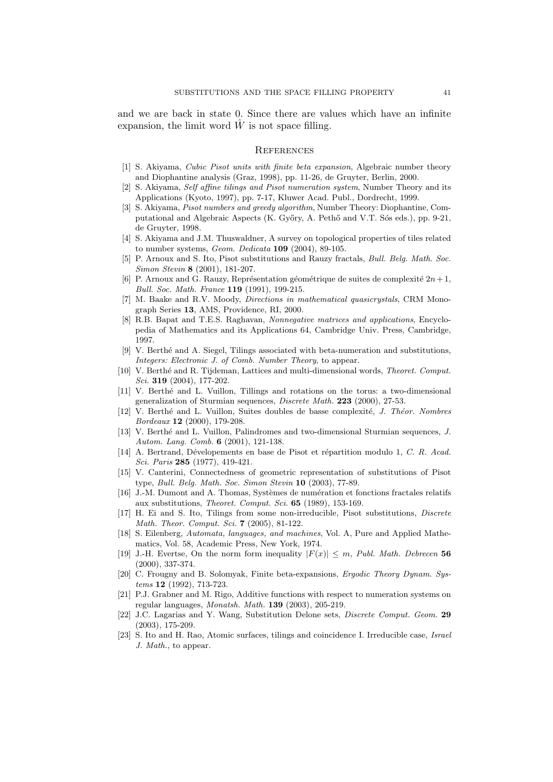and we are back in state 0. Since there are values which have an infinite expansion, the limit word  $W$  is not space filling.

#### **REFERENCES**

- [1] S. Akiyama, Cubic Pisot units with finite beta expansion, Algebraic number theory and Diophantine analysis (Graz, 1998), pp. 11-26, de Gruyter, Berlin, 2000.
- [2] S. Akiyama, Self affine tilings and Pisot numeration system, Number Theory and its Applications (Kyoto, 1997), pp. 7-17, Kluwer Acad. Publ., Dordrecht, 1999.
- [3] S. Akiyama, Pisot numbers and greedy algorithm, Number Theory: Diophantine, Computational and Algebraic Aspects (K. Győry, A. Pethő and V.T. Sós eds.), pp. 9-21, de Gruyter, 1998.
- [4] S. Akiyama and J.M. Thuswaldner, A survey on topological properties of tiles related to number systems, Geom. Dedicata 109 (2004), 89-105.
- [5] P. Arnoux and S. Ito, Pisot substitutions and Rauzy fractals, Bull. Belg. Math. Soc. Simon Stevin 8 (2001), 181-207.
- [6] P. Arnoux and G. Rauzy, Représentation géométrique de suites de complexité  $2n+1$ , Bull. Soc. Math. France 119 (1991), 199-215.
- [7] M. Baake and R.V. Moody, Directions in mathematical quasicrystals, CRM Monograph Series 13, AMS, Providence, RI, 2000.
- [8] R.B. Bapat and T.E.S. Raghavan, Nonnegative matrices and applications, Encyclopedia of Mathematics and its Applications 64, Cambridge Univ. Press, Cambridge, 1997.
- [9] V. Berth´e and A. Siegel, Tilings associated with beta-numeration and substitutions, Integers: Electronic J. of Comb. Number Theory, to appear.
- [10] V. Berthé and R. Tijdeman, Lattices and multi-dimensional words, Theoret. Comput. Sci. **319** (2004), 177-202.
- [11] V. Berth´e and L. Vuillon, Tillings and rotations on the torus: a two-dimensional generalization of Sturmian sequences, Discrete Math. 223 (2000), 27-53.
- [12] V. Berthé and L. Vuillon, Suites doubles de basse complexité, J. Théor. Nombres Bordeaux 12 (2000), 179-208.
- [13] V. Berthé and L. Vuillon, Palindromes and two-dimensional Sturmian sequences, J. Autom. Lang. Comb. 6 (2001), 121-138.
- [14] A. Bertrand, Dévelopements en base de Pisot et répartition modulo 1, C. R. Acad. Sci. Paris 285 (1977), 419-421.
- [15] V. Canterini, Connectedness of geometric representation of substitutions of Pisot type, Bull. Belg. Math. Soc. Simon Stevin 10 (2003), 77-89.
- [16] J.-M. Dumont and A. Thomas, Systèmes de numération et fonctions fractales relatifs aux substitutions, Theoret. Comput. Sci. 65 (1989), 153-169.
- [17] H. Ei and S. Ito, Tilings from some non-irreducible, Pisot substitutions, Discrete Math. Theor. Comput. Sci. 7 (2005), 81-122.
- [18] S. Eilenberg, Automata, languages, and machines, Vol. A, Pure and Applied Mathematics, Vol. 58, Academic Press, New York, 1974.
- [19] J.-H. Evertse, On the norm form inequality  $|F(x)| \leq m$ , Publ. Math. Debrecen 56 (2000), 337-374.
- [20] C. Frougny and B. Solomyak, Finite beta-expansions, Ergodic Theory Dynam. Systems 12 (1992), 713-723.
- [21] P.J. Grabner and M. Rigo, Additive functions with respect to numeration systems on regular languages, Monatsh. Math. 139 (2003), 205-219.
- [22] J.C. Lagarias and Y. Wang, Substitution Delone sets, Discrete Comput. Geom. 29 (2003), 175-209.
- [23] S. Ito and H. Rao, Atomic surfaces, tilings and coincidence I. Irreducible case, Israel J. Math., to appear.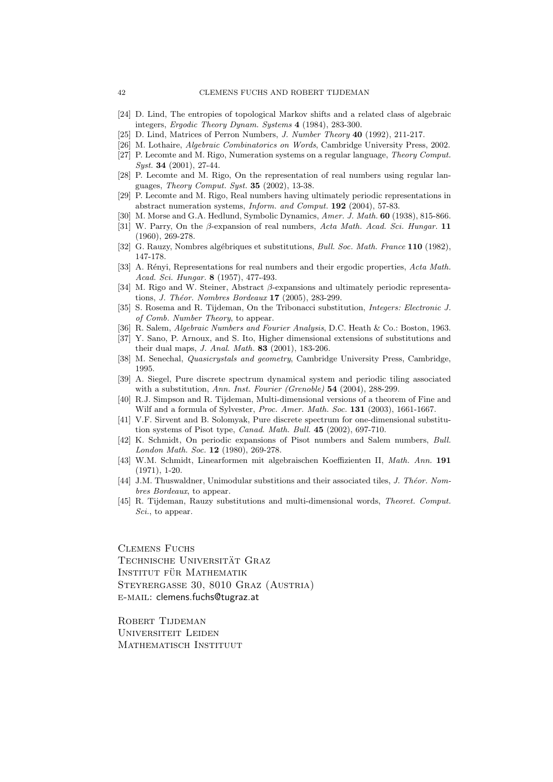- [24] D. Lind, The entropies of topological Markov shifts and a related class of algebraic integers, Ergodic Theory Dynam. Systems 4 (1984), 283-300.
- [25] D. Lind, Matrices of Perron Numbers, J. Number Theory 40 (1992), 211-217.
- [26] M. Lothaire, Algebraic Combinatorics on Words, Cambridge University Press, 2002.
- [27] P. Lecomte and M. Rigo, Numeration systems on a regular language, Theory Comput. Syst. 34 (2001), 27-44.
- [28] P. Lecomte and M. Rigo, On the representation of real numbers using regular languages, Theory Comput. Syst. 35 (2002), 13-38.
- [29] P. Lecomte and M. Rigo, Real numbers having ultimately periodic representations in abstract numeration systems, Inform. and Comput. 192 (2004), 57-83.
- [30] M. Morse and G.A. Hedlund, Symbolic Dynamics, Amer. J. Math. 60 (1938), 815-866.
- [31] W. Parry, On the  $\beta$ -expansion of real numbers, Acta Math. Acad. Sci. Hungar. 11 (1960), 269-278.
- [32] G. Rauzy, Nombres algébriques et substitutions, *Bull. Soc. Math. France* 110 (1982), 147-178.
- [33] A. Rényi, Representations for real numbers and their ergodic properties, Acta Math. Acad. Sci. Hungar. 8 (1957), 477-493.
- [34] M. Rigo and W. Steiner, Abstract  $\beta$ -expansions and ultimately periodic representations, J. Théor. Nombres Bordeaux  $17$  (2005), 283-299.
- [35] S. Rosema and R. Tijdeman, On the Tribonacci substitution, Integers: Electronic J. of Comb. Number Theory, to appear.
- [36] R. Salem, Algebraic Numbers and Fourier Analysis, D.C. Heath & Co.: Boston, 1963.
- [37] Y. Sano, P. Arnoux, and S. Ito, Higher dimensional extensions of substitutions and their dual maps, J. Anal. Math. 83 (2001), 183-206.
- [38] M. Senechal, Quasicrystals and geometry, Cambridge University Press, Cambridge, 1995.
- [39] A. Siegel, Pure discrete spectrum dynamical system and periodic tiling associated with a substitution, Ann. Inst. Fourier (Grenoble) **54** (2004), 288-299.
- [40] R.J. Simpson and R. Tijdeman, Multi-dimensional versions of a theorem of Fine and Wilf and a formula of Sylvester, Proc. Amer. Math. Soc. 131 (2003), 1661-1667.
- [41] V.F. Sirvent and B. Solomyak, Pure discrete spectrum for one-dimensional substitution systems of Pisot type, Canad. Math. Bull. 45 (2002), 697-710.
- [42] K. Schmidt, On periodic expansions of Pisot numbers and Salem numbers, Bull. London Math. Soc. 12 (1980), 269-278.
- [43] W.M. Schmidt, Linearformen mit algebraischen Koeffizienten II, Math. Ann. 191 (1971), 1-20.
- [44] J.M. Thuswaldner, Unimodular substitions and their associated tiles, J. Théor. Nombres Bordeaux, to appear.
- [45] R. Tijdeman, Rauzy substitutions and multi-dimensional words, Theoret. Comput. Sci., to appear.

Clemens Fuchs TECHNISCHE UNIVERSITÄT GRAZ INSTITUT FÜR MATHEMATIK Steyrergasse 30, 8010 Graz (Austria) e-mail: clemens.fuchs@tugraz.at

Robert Tijdeman Universiteit Leiden MATHEMATISCH INSTITUUT